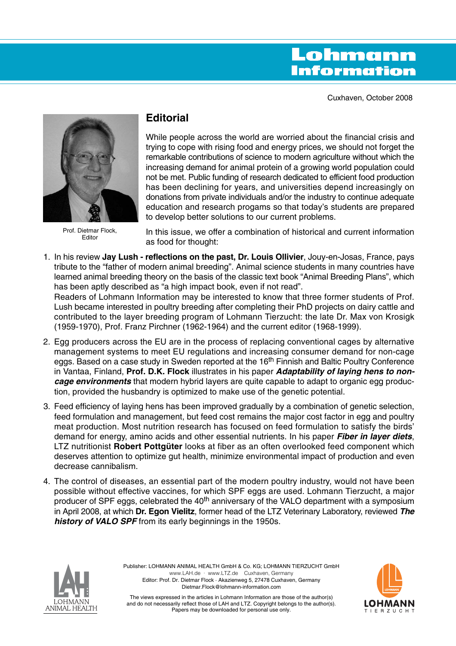# Lohmann **Information**

Cuxhaven, October 2008



Prof. Dietmar Flock, Editor

# **Editorial**

While people across the world are worried about the financial crisis and trying to cope with rising food and energy prices, we should not forget the remarkable contributions of science to modern agriculture without which the increasing demand for animal protein of a growing world population could not be met. Public funding of research dedicated to efficient food production has been declining for years, and universities depend increasingly on donations from private individuals and/or the industry to continue adequate education and research progams so that today's students are prepared to develop better solutions to our current problems.

In this issue, we offer a combination of historical and current information as food for thought:

1. In his review **Jay Lush - reflections on the past, Dr. Louis Ollivier**, Jouy-en-Josas, France, pays tribute to the "father of modern animal breeding". Animal science students in many countries have learned animal breeding theory on the basis of the classic text book "Animal Breeding Plans", which has been aptly described as "a high impact book, even if not read".

Readers of Lohmann Information may be interested to know that three former students of Prof. Lush became interested in poultry breeding after completing their PhD projects on dairy cattle and contributed to the layer breeding program of Lohmann Tierzucht: the late Dr. Max von Krosigk (1959-1970), Prof. Franz Pirchner (1962-1964) and the current editor (1968-1999).

- 2. Egg producers across the EU are in the process of replacing conventional cages by alternative management systems to meet EU regulations and increasing consumer demand for non-cage eggs. Based on a case study in Sweden reported at the 16<sup>th</sup> Finnish and Baltic Poultry Conference in Vantaa, Finland, **Prof. D.K. Flock** illustrates in his paper **Adaptability of laying hens to noncage environments** that modern hybrid layers are quite capable to adapt to organic egg production, provided the husbandry is optimized to make use of the genetic potential.
- 3. Feed efficiency of laying hens has been improved gradually by a combination of genetic selection, feed formulation and management, but feed cost remains the major cost factor in egg and poultry meat production. Most nutrition research has focused on feed formulation to satisfy the birds' demand for energy, amino acids and other essential nutrients. In his paper **Fiber in layer diets**, LTZ nutritionist **Robert Pottgüter** looks at fiber as an often overlooked feed component which deserves attention to optimize gut health, minimize environmental impact of production and even decrease cannibalism.
- 4. The control of diseases, an essential part of the modern poultry industry, would not have been possible without effective vaccines, for which SPF eggs are used. Lohmann Tierzucht, a major producer of SPF eggs, celebrated the 40<sup>th</sup> anniversary of the VALO department with a symposium in April 2008, at which **Dr. Egon Vielitz**, former head of the LTZ Veterinary Laboratory, reviewed **The history of VALO SPF** from its early beginnings in the 1950s.



Publisher: LOHMANN ANIMAL HEALTH GmbH & Co. KG; LOHMANN TIERZUCHT GmbH www.LAH.de · www.LTZ.de Cuxhaven, Germany Editor: Prof. Dr. Dietmar Flock · Akazienweg 5, 27478 Cuxhaven, Germany Dietmar.Flock@lohmann-information.com



The views expressed in the articles in Lohmann Information are those of the author(s) and do not necessarily reflect those of LAH and LTZ. Copyright belongs to the author(s). Papers may be downloaded for personal use only.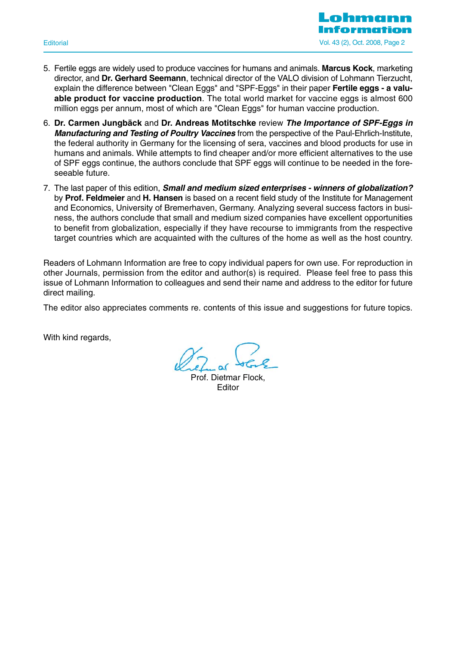

- 5. Fertile eggs are widely used to produce vaccines for humans and animals. **Marcus Kock**, marketing director, and **Dr. Gerhard Seemann**, technical director of the VALO division of Lohmann Tierzucht, explain the difference between "Clean Eggs" and "SPF-Eggs" in their paper **Fertile eggs - a valuable product for vaccine production**. The total world market for vaccine eggs is almost 600 million eggs per annum, most of which are "Clean Eggs" for human vaccine production.
- 6. **Dr. Carmen Jungbäck** and **Dr. Andreas Motitschke** review **The Importance of SPF-Eggs in Manufacturing and Testing of Poultry Vaccines** from the perspective of the Paul-Ehrlich-Institute, the federal authority in Germany for the licensing of sera, vaccines and blood products for use in humans and animals. While attempts to find cheaper and/or more efficient alternatives to the use of SPF eggs continue, the authors conclude that SPF eggs will continue to be needed in the foreseeable future.
- 7. The last paper of this edition, **Small and medium sized enterprises winners of globalization?** by **Prof. Feldmeier** and **H. Hansen** is based on a recent field study of the Institute for Management and Economics, University of Bremerhaven, Germany. Analyzing several success factors in business, the authors conclude that small and medium sized companies have excellent opportunities to benefit from globalization, especially if they have recourse to immigrants from the respective target countries which are acquainted with the cultures of the home as well as the host country.

Readers of Lohmann Information are free to copy individual papers for own use. For reproduction in other Journals, permission from the editor and author(s) is required. Please feel free to pass this issue of Lohmann Information to colleagues and send their name and address to the editor for future direct mailing.

The editor also appreciates comments re. contents of this issue and suggestions for future topics.

With kind regards,

Prof. Dietmar Flock, **Editor**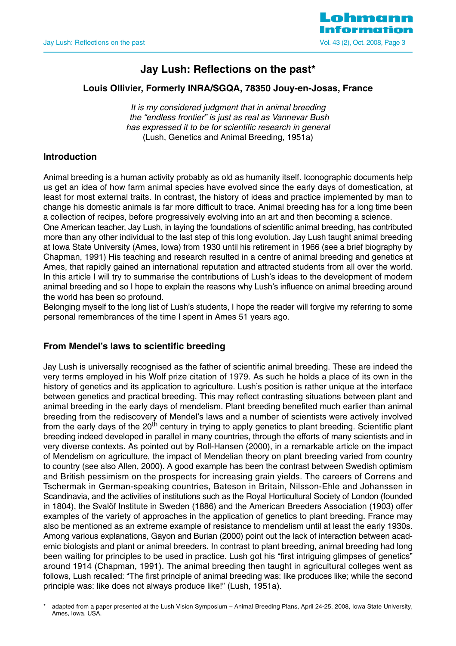

# **Jay Lush: Reflections on the past\***

# **Louis Ollivier, Formerly INRA/SGQA, 78350 Jouy-en-Josas, France**

It is my considered judgment that in animal breeding the "endless frontier" is just as real as Vannevar Bush has expressed it to be for scientific research in general (Lush, Genetics and Animal Breeding, 1951a)

# **Introduction**

Animal breeding is a human activity probably as old as humanity itself. Iconographic documents help us get an idea of how farm animal species have evolved since the early days of domestication, at least for most external traits. In contrast, the history of ideas and practice implemented by man to change his domestic animals is far more difficult to trace. Animal breeding has for a long time been a collection of recipes, before progressively evolving into an art and then becoming a science.

One American teacher, Jay Lush, in laying the foundations of scientific animal breeding, has contributed more than any other individual to the last step of this long evolution. Jay Lush taught animal breeding at Iowa State University (Ames, Iowa) from 1930 until his retirement in 1966 (see a brief biography by Chapman, 1991) His teaching and research resulted in a centre of animal breeding and genetics at Ames, that rapidly gained an international reputation and attracted students from all over the world. In this article I will try to summarise the contributions of Lush's ideas to the development of modern animal breeding and so I hope to explain the reasons why Lush's influence on animal breeding around the world has been so profound.

Belonging myself to the long list of Lush's students, I hope the reader will forgive my referring to some personal remembrances of the time I spent in Ames 51 years ago.

# **From Mendel's laws to scientific breeding**

Jay Lush is universally recognised as the father of scientific animal breeding. These are indeed the very terms employed in his Wolf prize citation of 1979. As such he holds a place of its own in the history of genetics and its application to agriculture. Lush's position is rather unique at the interface between genetics and practical breeding. This may reflect contrasting situations between plant and animal breeding in the early days of mendelism. Plant breeding benefited much earlier than animal breeding from the rediscovery of Mendel's laws and a number of scientists were actively involved from the early days of the 20<sup>th</sup> century in trying to apply genetics to plant breeding. Scientific plant breeding indeed developed in parallel in many countries, through the efforts of many scientists and in very diverse contexts. As pointed out by Roll-Hansen (2000), in a remarkable article on the impact of Mendelism on agriculture, the impact of Mendelian theory on plant breeding varied from country to country (see also Allen, 2000). A good example has been the contrast between Swedish optimism and British pessimism on the prospects for increasing grain yields. The careers of Correns and Tschermak in German-speaking countries, Bateson in Britain, Nilsson-Ehle and Johanssen in Scandinavia, and the activities of institutions such as the Royal Horticultural Society of London (founded in 1804), the Svalöf Institute in Sweden (1886) and the American Breeders Association (1903) offer examples of the variety of approaches in the application of genetics to plant breeding. France may also be mentioned as an extreme example of resistance to mendelism until at least the early 1930s. Among various explanations, Gayon and Burian (2000) point out the lack of interaction between academic biologists and plant or animal breeders. In contrast to plant breeding, animal breeding had long been waiting for principles to be used in practice. Lush got his "first intriguing glimpses of genetics" around 1914 (Chapman, 1991). The animal breeding then taught in agricultural colleges went as follows, Lush recalled: "The first principle of animal breeding was: like produces like; while the second principle was: like does not always produce like!" (Lush, 1951a).

adapted from a paper presented at the Lush Vision Symposium – Animal Breeding Plans, April 24-25, 2008, Iowa State University, Ames, Iowa, USA.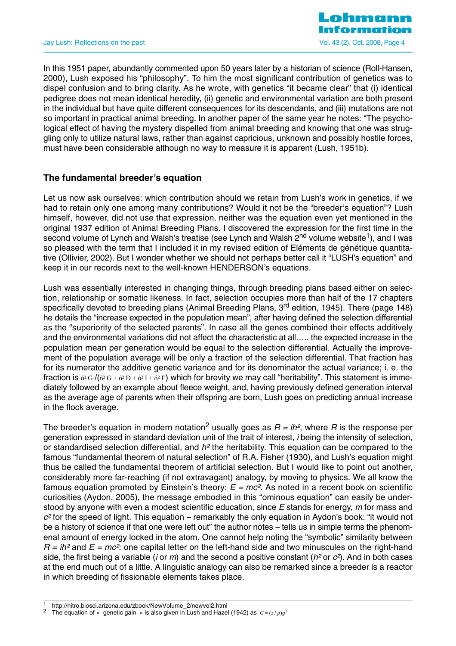

In this 1951 paper, abundantly commented upon 50 years later by a historian of science (Roll-Hansen, 2000), Lush exposed his "philosophy". To him the most significant contribution of genetics was to dispel confusion and to bring clarity. As he wrote, with genetics "it became clear" that (i) identical pedigree does not mean identical heredity, (ii) genetic and environmental variation are both present in the individual but have quite different consequences for its descendants, and (iii) mutations are not so important in practical animal breeding. In another paper of the same year he notes: "The psychological effect of having the mystery dispelled from animal breeding and knowing that one was struggling only to utilize natural laws, rather than against capricious, unknown and possibly hostile forces, must have been considerable although no way to measure it is apparent (Lush, 1951b).

# **The fundamental breeder's equation**

Let us now ask ourselves: which contribution should we retain from Lush's work in genetics, if we had to retain only one among many contributions? Would it not be the "breeder's equation"? Lush himself, however, did not use that expression, neither was the equation even yet mentioned in the original 1937 edition of Animal Breeding Plans. I discovered the expression for the first time in the second volume of Lynch and Walsh's treatise (see Lynch and Walsh  $2<sup>nd</sup>$  volume website<sup>1</sup>), and I was so pleased with the term that I included it in my revised edition of Eléments de génétique quantitative (Ollivier, 2002). But I wonder whether we should not perhaps better call it "LUSH's equation" and keep it in our records next to the well-known HENDERSON's equations.

Lush was essentially interested in changing things, through breeding plans based either on selection, relationship or somatic likeness. In fact, selection occupies more than half of the 17 chapters specifically devoted to breeding plans (Animal Breeding Plans, 3<sup>rd</sup> edition, 1945). There (page 148) he details the "increase expected in the population mean", after having defined the selection differential as the "superiority of the selected parents". In case all the genes combined their effects additively and the environmental variations did not affect the characteristic at all….. the expected increase in the population mean per generation would be equal to the selection differential. Actually the improvement of the population average will be only a fraction of the selection differential. That fraction has for its numerator the additive genetic variance and for its denominator the actual variance; i. e. the fraction is  $\delta^2 G / (\delta^2 G + \delta^2 D + \delta^2 I + \delta^2 E)$  which for brevity we may call "heritability". This statement is immediately followed by an example about fleece weight, and, having previously defined generation interval as the average age of parents when their offspring are born, Lush goes on predicting annual increase in the flock average.

The breeder's equation in modern notation<sup>2</sup> usually goes as  $R = i h^2$ , where R is the response per generation expressed in standard deviation unit of the trait of interest, i being the intensity of selection, or standardised selection differential, and  $h^2$  the heritability. This equation can be compared to the famous "fundamental theorem of natural selection" of R.A. Fisher (1930), and Lush's equation might thus be called the fundamental theorem of artificial selection. But I would like to point out another, considerably more far-reaching (if not extravagant) analogy, by moving to physics. We all know the famous equation promoted by Einstein's theory:  $E = mc^2$ . As noted in a recent book on scientific curiosities (Aydon, 2005), the message embodied in this "ominous equation" can easily be understood by anyone with even a modest scientific education, since E stands for energy, m for mass and  $c<sup>2</sup>$  for the speed of light. This equation – remarkably the only equation in Aydon's book: "it would not be a history of science if that one were left out" the author notes – tells us in simple terms the phenomenal amount of energy locked in the atom. One cannot help noting the "symbolic" similarity between  $R = i\hbar^2$  and  $E = mc^2$ : one capital letter on the left-hand side and two minuscules on the right-hand side, the first being a variable (*i* or *m*) and the second a positive constant ( $h^2$  or  $c^2$ ). And in both cases at the end much out of a little. A linguistic analogy can also be remarked since a breeder is a reactor in which breeding of fissionable elements takes place.

<sup>1</sup> http://nitro.biosci.arizona.edu/zbook/NewVolume\_2/newvol2.html<br><sup>2</sup> The equation of « genetic gain » is also given in Lush and Hazel (1942) as  $\overline{G} = (z/p)g^2$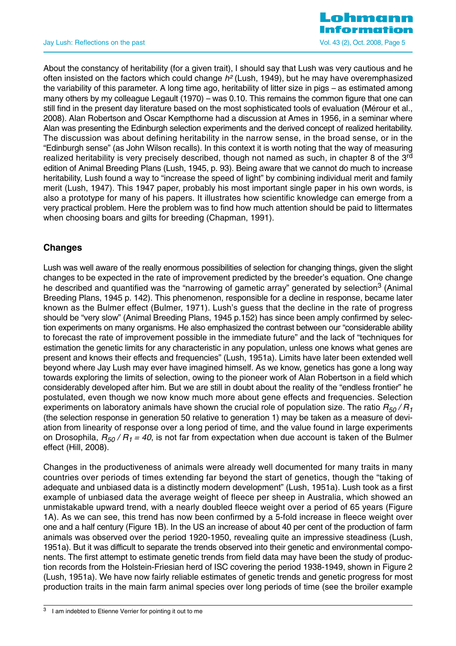

About the constancy of heritability (for a given trait), I should say that Lush was very cautious and he often insisted on the factors which could change  $h^2$  (Lush, 1949), but he may have overemphasized the variability of this parameter. A long time ago, heritability of litter size in pigs – as estimated among many others by my colleague Legault (1970) – was 0.10. This remains the common figure that one can still find in the present day literature based on the most sophisticated tools of evaluation (Mérour et al., 2008). Alan Robertson and Oscar Kempthorne had a discussion at Ames in 1956, in a seminar where Alan was presenting the Edinburgh selection experiments and the derived concept of realized heritability. The discussion was about defining heritability in the narrow sense, in the broad sense, or in the "Edinburgh sense" (as John Wilson recalls). In this context it is worth noting that the way of measuring realized heritability is very precisely described, though not named as such, in chapter 8 of the 3<sup>rd</sup> edition of Animal Breeding Plans (Lush, 1945, p. 93). Being aware that we cannot do much to increase heritability, Lush found a way to "increase the speed of light" by combining individual merit and family merit (Lush, 1947). This 1947 paper, probably his most important single paper in his own words, is also a prototype for many of his papers. It illustrates how scientific knowledge can emerge from a very practical problem. Here the problem was to find how much attention should be paid to littermates when choosing boars and gilts for breeding (Chapman, 1991).

# **Changes**

Lush was well aware of the really enormous possibilities of selection for changing things, given the slight changes to be expected in the rate of improvement predicted by the breeder's equation. One change he described and quantified was the "narrowing of gametic array" generated by selection<sup>3</sup> (Animal Breeding Plans, 1945 p. 142). This phenomenon, responsible for a decline in response, became later known as the Bulmer effect (Bulmer, 1971). Lush's guess that the decline in the rate of progress should be "very slow" (Animal Breeding Plans, 1945 p.152) has since been amply confirmed by selection experiments on many organisms. He also emphasized the contrast between our "considerable ability to forecast the rate of improvement possible in the immediate future" and the lack of "techniques for estimation the genetic limits for any characteristic in any population, unless one knows what genes are present and knows their effects and frequencies" (Lush, 1951a). Limits have later been extended well beyond where Jay Lush may ever have imagined himself. As we know, genetics has gone a long way towards exploring the limits of selection, owing to the pioneer work of Alan Robertson in a field which considerably developed after him. But we are still in doubt about the reality of the "endless frontier" he postulated, even though we now know much more about gene effects and frequencies. Selection experiments on laboratory animals have shown the crucial role of population size. The ratio  $R_{50}/R_1$ (the selection response in generation 50 relative to generation 1) may be taken as a measure of deviation from linearity of response over a long period of time, and the value found in large experiments on Drosophila,  $R_{50}$  /  $R_1$  = 40, is not far from expectation when due account is taken of the Bulmer effect (Hill, 2008).

Changes in the productiveness of animals were already well documented for many traits in many countries over periods of times extending far beyond the start of genetics, though the "taking of adequate and unbiased data is a distinctly modern development" (Lush, 1951a). Lush took as a first example of unbiased data the average weight of fleece per sheep in Australia, which showed an unmistakable upward trend, with a nearly doubled fleece weight over a period of 65 years (Figure 1A). As we can see, this trend has now been confirmed by a 5-fold increase in fleece weight over one and a half century (Figure 1B). In the US an increase of about 40 per cent of the production of farm animals was observed over the period 1920-1950, revealing quite an impressive steadiness (Lush, 1951a). But it was difficult to separate the trends observed into their genetic and environmental components. The first attempt to estimate genetic trends from field data may have been the study of production records from the Holstein-Friesian herd of ISC covering the period 1938-1949, shown in Figure 2 (Lush, 1951a). We have now fairly reliable estimates of genetic trends and genetic progress for most production traits in the main farm animal species over long periods of time (see the broiler example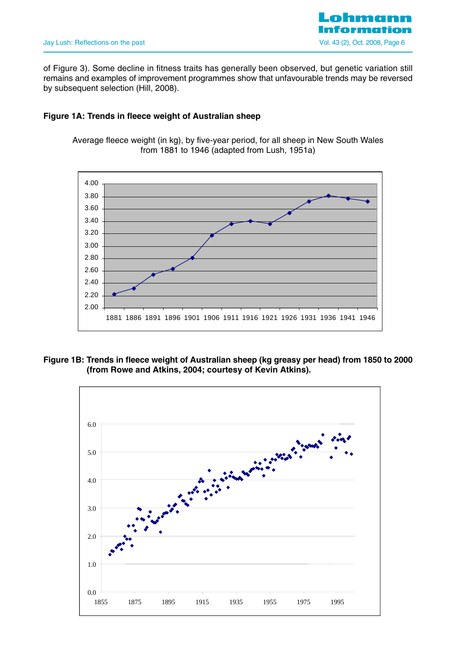

of Figure 3). Some decline in fitness traits has generally been observed, but genetic variation still remains and examples of improvement programmes show that unfavourable trends may be reversed by subsequent selection (Hill, 2008).

# **Figure 1A: Trends in fleece weight of Australian sheep**

Average fleece weight (in kg), by five-year period, for all sheep in New South Wales from 1881 to 1946 (adapted from Lush, 1951a)



# **Figure 1B: Trends in fleece weight of Australian sheep (kg greasy per head) from 1850 to 2000 (from Rowe and Atkins, 2004; courtesy of Kevin Atkins).**

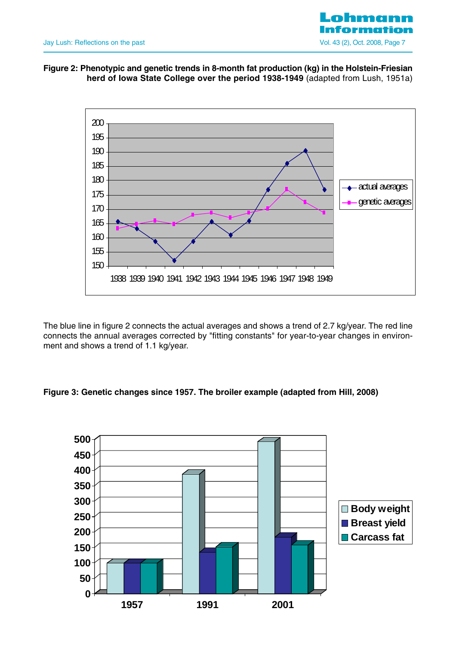

# **Figure 2: Phenotypic and genetic trends in 8-month fat production (kg) in the Holstein-Friesian herd of Iowa State College over the period 1938-1949** (adapted from Lush, 1951a)



The blue line in figure 2 connects the actual averages and shows a trend of 2.7 kg/year. The red line connects the annual averages corrected by "fitting constants" for year-to-year changes in environment and shows a trend of 1.1 kg/year.

# **Figure 3: Genetic changes since 1957. The broiler example (adapted from Hill, 2008)**

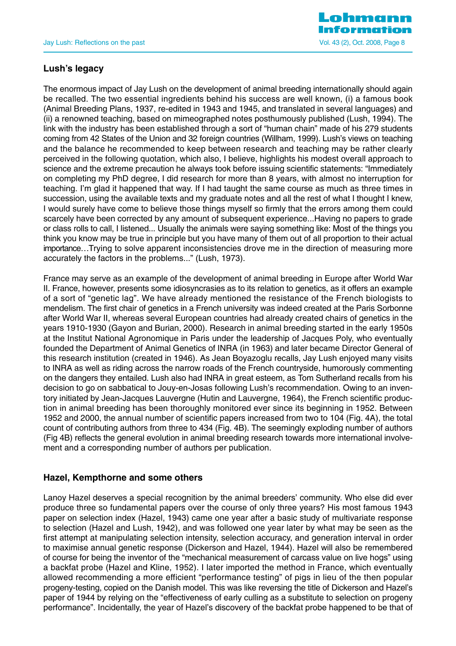

# **Lush's legacy**

The enormous impact of Jay Lush on the development of animal breeding internationally should again be recalled. The two essential ingredients behind his success are well known, (i) a famous book (Animal Breeding Plans, 1937, re-edited in 1943 and 1945, and translated in several languages) and (ii) a renowned teaching, based on mimeographed notes posthumously published (Lush, 1994). The link with the industry has been established through a sort of "human chain" made of his 279 students coming from 42 States of the Union and 32 foreign countries (Willham, 1999). Lush's views on teaching and the balance he recommended to keep between research and teaching may be rather clearly perceived in the following quotation, which also, I believe, highlights his modest overall approach to science and the extreme precaution he always took before issuing scientific statements: "Immediately on completing my PhD degree, I did research for more than 8 years, with almost no interruption for teaching. I'm glad it happened that way. If I had taught the same course as much as three times in succession, using the available texts and my graduate notes and all the rest of what I thought I knew, I would surely have come to believe those things myself so firmly that the errors among them could scarcely have been corrected by any amount of subsequent experience...Having no papers to grade or class rolls to call, I listened... Usually the animals were saying something like: Most of the things you think you know may be true in principle but you have many of them out of all proportion to their actual importance…Trying to solve apparent inconsistencies drove me in the direction of measuring more accurately the factors in the problems..." (Lush, 1973).

France may serve as an example of the development of animal breeding in Europe after World War II. France, however, presents some idiosyncrasies as to its relation to genetics, as it offers an example of a sort of "genetic lag". We have already mentioned the resistance of the French biologists to mendelism. The first chair of genetics in a French university was indeed created at the Paris Sorbonne after World War II, whereas several European countries had already created chairs of genetics in the years 1910-1930 (Gayon and Burian, 2000). Research in animal breeding started in the early 1950s at the Institut National Agronomique in Paris under the leadership of Jacques Poly, who eventually founded the Department of Animal Genetics of INRA (in 1963) and later became Director General of this research institution (created in 1946). As Jean Boyazoglu recalls, Jay Lush enjoyed many visits to INRA as well as riding across the narrow roads of the French countryside, humorously commenting on the dangers they entailed. Lush also had INRA in great esteem, as Tom Sutherland recalls from his decision to go on sabbatical to Jouy-en-Josas following Lush's recommendation. Owing to an inventory initiated by Jean-Jacques Lauvergne (Hutin and Lauvergne, 1964), the French scientific production in animal breeding has been thoroughly monitored ever since its beginning in 1952. Between 1952 and 2000, the annual number of scientific papers increased from two to 104 (Fig. 4A), the total count of contributing authors from three to 434 (Fig. 4B). The seemingly exploding number of authors (Fig 4B) reflects the general evolution in animal breeding research towards more international involvement and a corresponding number of authors per publication.

# **Hazel, Kempthorne and some others**

Lanoy Hazel deserves a special recognition by the animal breeders' community. Who else did ever produce three so fundamental papers over the course of only three years? His most famous 1943 paper on selection index (Hazel, 1943) came one year after a basic study of multivariate response to selection (Hazel and Lush, 1942), and was followed one year later by what may be seen as the first attempt at manipulating selection intensity, selection accuracy, and generation interval in order to maximise annual genetic response (Dickerson and Hazel, 1944). Hazel will also be remembered of course for being the inventor of the "mechanical measurement of carcass value on live hogs" using a backfat probe (Hazel and Kline, 1952). I later imported the method in France, which eventually allowed recommending a more efficient "performance testing" of pigs in lieu of the then popular progeny-testing, copied on the Danish model. This was like reversing the title of Dickerson and Hazel's paper of 1944 by relying on the "effectiveness of early culling as a substitute to selection on progeny performance". Incidentally, the year of Hazel's discovery of the backfat probe happened to be that of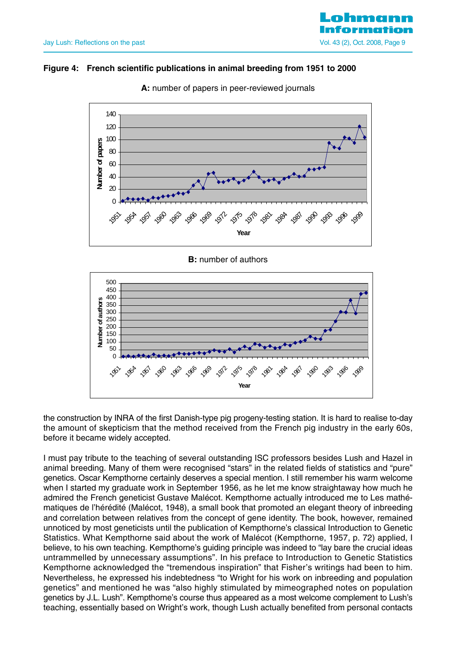# Jay Lush: Reflections on the past Vol. 43 (2), Oct. 2008, Page 9

# **Figure 4: French scientific publications in animal breeding from 1951 to 2000**



**A:** number of papers in peer-reviewed journals

**B:** number of authors



the construction by INRA of the first Danish-type pig progeny-testing station. It is hard to realise to-day the amount of skepticism that the method received from the French pig industry in the early 60s, before it became widely accepted.

I must pay tribute to the teaching of several outstanding ISC professors besides Lush and Hazel in animal breeding. Many of them were recognised "stars" in the related fields of statistics and "pure" genetics. Oscar Kempthorne certainly deserves a special mention. I still remember his warm welcome when I started my graduate work in September 1956, as he let me know straightaway how much he admired the French geneticist Gustave Malécot. Kempthorne actually introduced me to Les mathématiques de l'hérédité (Malécot, 1948), a small book that promoted an elegant theory of inbreeding and correlation between relatives from the concept of gene identity. The book, however, remained unnoticed by most geneticists until the publication of Kempthorne's classical Introduction to Genetic Statistics. What Kempthorne said about the work of Malécot (Kempthorne, 1957, p. 72) applied, I believe, to his own teaching. Kempthorne's guiding principle was indeed to "lay bare the crucial ideas untrammelled by unnecessary assumptions". In his preface to Introduction to Genetic Statistics Kempthorne acknowledged the "tremendous inspiration" that Fisher's writings had been to him. Nevertheless, he expressed his indebtedness "to Wright for his work on inbreeding and population genetics" and mentioned he was "also highly stimulated by mimeographed notes on population genetics by J.L. Lush". Kempthorne's course thus appeared as a most welcome complement to Lush's teaching, essentially based on Wright's work, though Lush actually benefited from personal contacts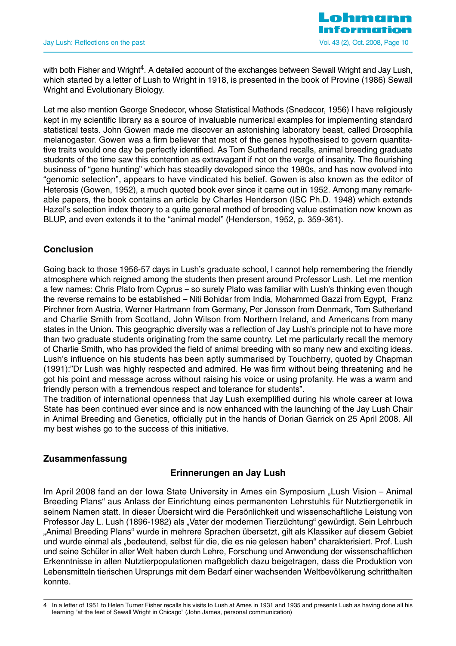with both Fisher and Wright<sup>4</sup>. A detailed account of the exchanges between Sewall Wright and Jay Lush, which started by a letter of Lush to Wright in 1918, is presented in the book of Provine (1986) Sewall Wright and Evolutionary Biology.

Let me also mention George Snedecor, whose Statistical Methods (Snedecor, 1956) I have religiously kept in my scientific library as a source of invaluable numerical examples for implementing standard statistical tests. John Gowen made me discover an astonishing laboratory beast, called Drosophila melanogaster. Gowen was a firm believer that most of the genes hypothesised to govern quantitative traits would one day be perfectly identified. As Tom Sutherland recalls, animal breeding graduate students of the time saw this contention as extravagant if not on the verge of insanity. The flourishing business of "gene hunting" which has steadily developed since the 1980s, and has now evolved into "genomic selection", appears to have vindicated his belief. Gowen is also known as the editor of Heterosis (Gowen, 1952), a much quoted book ever since it came out in 1952. Among many remarkable papers, the book contains an article by Charles Henderson (ISC Ph.D. 1948) which extends Hazel's selection index theory to a quite general method of breeding value estimation now known as BLUP, and even extends it to the "animal model" (Henderson, 1952, p. 359-361).

# **Conclusion**

Going back to those 1956-57 days in Lush's graduate school, I cannot help remembering the friendly atmosphere which reigned among the students then present around Professor Lush. Let me mention a few names: Chris Plato from Cyprus – so surely Plato was familiar with Lush's thinking even though the reverse remains to be established – Niti Bohidar from India, Mohammed Gazzi from Egypt, Franz Pirchner from Austria, Werner Hartmann from Germany, Per Jonsson from Denmark, Tom Sutherland and Charlie Smith from Scotland, John Wilson from Northern Ireland, and Americans from many states in the Union. This geographic diversity was a reflection of Jay Lush's principle not to have more than two graduate students originating from the same country. Let me particularly recall the memory of Charlie Smith, who has provided the field of animal breeding with so many new and exciting ideas. Lush's influence on his students has been aptly summarised by Touchberry, quoted by Chapman (1991):"Dr Lush was highly respected and admired. He was firm without being threatening and he got his point and message across without raising his voice or using profanity. He was a warm and friendly person with a tremendous respect and tolerance for students".

The tradition of international openness that Jay Lush exemplified during his whole career at Iowa State has been continued ever since and is now enhanced with the launching of the Jay Lush Chair in Animal Breeding and Genetics, officially put in the hands of Dorian Garrick on 25 April 2008. All my best wishes go to the success of this initiative.

# **Zusammenfassung**

# **Erinnerungen an Jay Lush**

Im April 2008 fand an der Iowa State University in Ames ein Symposium "Lush Vision – Animal Breeding Plans" aus Anlass der Einrichtung eines permanenten Lehrstuhls für Nutztiergenetik in seinem Namen statt. In dieser Übersicht wird die Persönlichkeit und wissenschaftliche Leistung von Professor Jay L. Lush (1896-1982) als "Vater der modernen Tierzüchtung" gewürdigt. Sein Lehrbuch "Animal Breeding Plans" wurde in mehrere Sprachen übersetzt, gilt als Klassiker auf diesem Gebiet und wurde einmal als "bedeutend, selbst für die, die es nie gelesen haben" charakterisiert. Prof. Lush und seine Schüler in aller Welt haben durch Lehre, Forschung und Anwendung der wissenschaftlichen Erkenntnisse in allen Nutztierpopulationen maßgeblich dazu beigetragen, dass die Produktion von Lebensmitteln tierischen Ursprungs mit dem Bedarf einer wachsenden Weltbevölkerung schritthalten konnte.

<sup>4</sup> In a letter of 1951 to Helen Turner Fisher recalls his visits to Lush at Ames in 1931 and 1935 and presents Lush as having done all his learning "at the feet of Sewall Wright in Chicago" (John James, personal communication)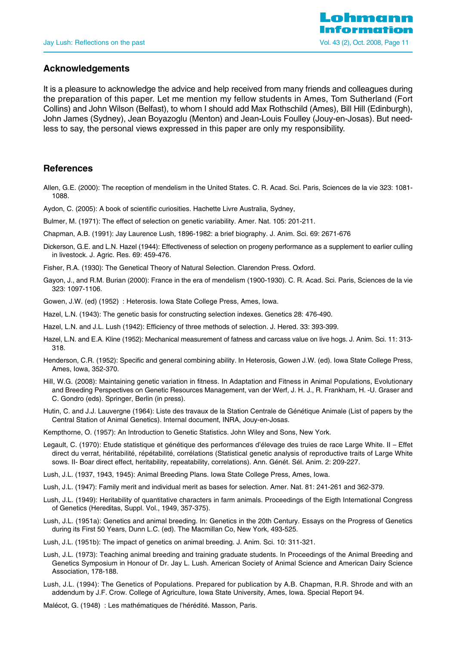

#### **Acknowledgements**

It is a pleasure to acknowledge the advice and help received from many friends and colleagues during the preparation of this paper. Let me mention my fellow students in Ames, Tom Sutherland (Fort Collins) and John Wilson (Belfast), to whom I should add Max Rothschild (Ames), Bill Hill (Edinburgh), John James (Sydney), Jean Boyazoglu (Menton) and Jean-Louis Foulley (Jouy-en-Josas). But needless to say, the personal views expressed in this paper are only my responsibility.

#### **References**

- Allen, G.E. (2000): The reception of mendelism in the United States. C. R. Acad. Sci. Paris, Sciences de la vie 323: 1081- 1088.
- Aydon, C. (2005): A book of scientific curiosities. Hachette Livre Australia, Sydney,
- Bulmer, M. (1971): The effect of selection on genetic variability. Amer. Nat. 105: 201-211.
- Chapman, A.B. (1991): Jay Laurence Lush, 1896-1982: a brief biography. J. Anim. Sci. 69: 2671-676
- Dickerson, G.E. and L.N. Hazel (1944): Effectiveness of selection on progeny performance as a supplement to earlier culling in livestock. J. Agric. Res. 69: 459-476.
- Fisher, R.A. (1930): The Genetical Theory of Natural Selection. Clarendon Press. Oxford.
- Gayon, J., and R.M. Burian (2000): France in the era of mendelism (1900-1930). C. R. Acad. Sci. Paris, Sciences de la vie 323: 1097-1106.
- Gowen, J.W. (ed) (1952) : Heterosis. Iowa State College Press, Ames, Iowa.
- Hazel, L.N. (1943): The genetic basis for constructing selection indexes. Genetics 28: 476-490.
- Hazel, L.N. and J.L. Lush (1942): Efficiency of three methods of selection. J. Hered. 33: 393-399.
- Hazel, L.N. and E.A. Kline (1952): Mechanical measurement of fatness and carcass value on live hogs. J. Anim. Sci. 11: 313- 318.
- Henderson, C.R. (1952): Specific and general combining ability. In Heterosis, Gowen J.W. (ed). Iowa State College Press, Ames, Iowa, 352-370.
- Hill, W.G. (2008): Maintaining genetic variation in fitness. In Adaptation and Fitness in Animal Populations, Evolutionary and Breeding Perspectives on Genetic Resources Management, van der Werf, J. H. J., R. Frankham, H. -U. Graser and C. Gondro (eds). Springer, Berlin (in press).
- Hutin, C. and J.J. Lauvergne (1964): Liste des travaux de la Station Centrale de Génétique Animale (List of papers by the Central Station of Animal Genetics). Internal document, INRA, Jouy-en-Josas.
- Kempthorne, O. (1957): An Introduction to Genetic Statistics. John Wiley and Sons, New York.
- Legault, C. (1970): Etude statistique et génétique des performances d'élevage des truies de race Large White. II Effet direct du verrat, héritabilité, répétabilité, corrélations (Statistical genetic analysis of reproductive traits of Large White sows. II- Boar direct effect, heritability, repeatability, correlations). Ann. Génét. Sél. Anim. 2: 209-227.
- Lush, J.L. (1937, 1943, 1945): Animal Breeding Plans. Iowa State College Press, Ames, Iowa.
- Lush, J.L. (1947): Family merit and individual merit as bases for selection. Amer. Nat. 81: 241-261 and 362-379.
- Lush, J.L. (1949): Heritability of quantitative characters in farm animals. Proceedings of the Eigth International Congress of Genetics (Hereditas, Suppl. Vol., 1949, 357-375).
- Lush, J.L. (1951a): Genetics and animal breeding. In: Genetics in the 20th Century. Essays on the Progress of Genetics during its First 50 Years, Dunn L.C. (ed). The Macmillan Co, New York, 493-525.
- Lush, J.L. (1951b): The impact of genetics on animal breeding. J. Anim. Sci. 10: 311-321.
- Lush, J.L. (1973): Teaching animal breeding and training graduate students. In Proceedings of the Animal Breeding and Genetics Symposium in Honour of Dr. Jay L. Lush. American Society of Animal Science and American Dairy Science Association, 178-188.
- Lush, J.L. (1994): The Genetics of Populations. Prepared for publication by A.B. Chapman, R.R. Shrode and with an addendum by J.F. Crow. College of Agriculture, Iowa State University, Ames, Iowa. Special Report 94.
- Malécot, G. (1948) : Les mathématiques de l'hérédité. Masson, Paris.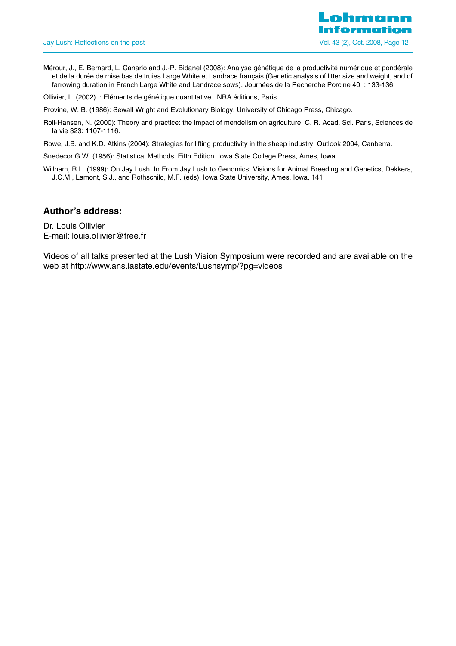Mérour, J., E. Bernard, L. Canario and J.-P. Bidanel (2008): Analyse génétique de la productivité numérique et pondérale et de la durée de mise bas de truies Large White et Landrace français (Genetic analysis of litter size and weight, and of farrowing duration in French Large White and Landrace sows). Journées de la Recherche Porcine 40 : 133-136.

Ollivier, L. (2002) : Eléments de génétique quantitative. INRA éditions, Paris.

Provine, W. B. (1986): Sewall Wright and Evolutionary Biology. University of Chicago Press, Chicago.

Roll-Hansen, N. (2000): Theory and practice: the impact of mendelism on agriculture. C. R. Acad. Sci. Paris, Sciences de la vie 323: 1107-1116.

Rowe, J.B. and K.D. Atkins (2004): Strategies for lifting productivity in the sheep industry. Outlook 2004, Canberra.

Snedecor G.W. (1956): Statistical Methods. Fifth Edition. Iowa State College Press, Ames, Iowa.

Willham, R.L. (1999): On Jay Lush. In From Jay Lush to Genomics: Visions for Animal Breeding and Genetics, Dekkers, J.C.M., Lamont, S.J., and Rothschild, M.F. (eds). Iowa State University, Ames, Iowa, 141.

# **Author's address:**

Dr. Louis Ollivier E-mail: louis.ollivier@free.fr

Videos of all talks presented at the Lush Vision Symposium were recorded and are available on the web at http://www.ans.iastate.edu/events/Lushsymp/?pg=videos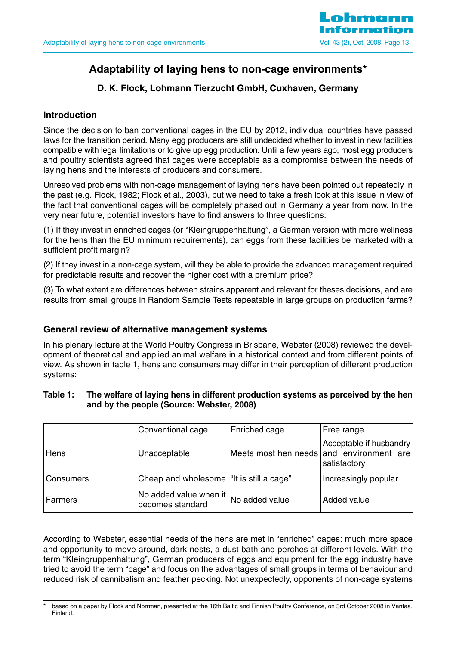

# **Adaptability of laying hens to non-cage environments\***

# **D. K. Flock, Lohmann Tierzucht GmbH, Cuxhaven, Germany**

# **Introduction**

Since the decision to ban conventional cages in the EU by 2012, individual countries have passed laws for the transition period. Many egg producers are still undecided whether to invest in new facilities compatible with legal limitations or to give up egg production. Until a few years ago, most egg producers and poultry scientists agreed that cages were acceptable as a compromise between the needs of laying hens and the interests of producers and consumers.

Unresolved problems with non-cage management of laying hens have been pointed out repeatedly in the past (e.g. Flock, 1982; Flock et al., 2003), but we need to take a fresh look at this issue in view of the fact that conventional cages will be completely phased out in Germany a year from now. In the very near future, potential investors have to find answers to three questions:

(1) If they invest in enriched cages (or "Kleingruppenhaltung", a German version with more wellness for the hens than the EU minimum requirements), can eggs from these facilities be marketed with a sufficient profit margin?

(2) If they invest in a non-cage system, will they be able to provide the advanced management required for predictable results and recover the higher cost with a premium price?

(3) To what extent are differences between strains apparent and relevant for theses decisions, and are results from small groups in Random Sample Tests repeatable in large groups on production farms?

# **General review of alternative management systems**

In his plenary lecture at the World Poultry Congress in Brisbane, Webster (2008) reviewed the development of theoretical and applied animal welfare in a historical context and from different points of view. As shown in table 1, hens and consumers may differ in their perception of different production systems:

# **Table 1: The welfare of laying hens in different production systems as perceived by the hen and by the people (Source: Webster, 2008)**

|                | Conventional cage                          | Enriched cage  | Free range                                                                          |
|----------------|--------------------------------------------|----------------|-------------------------------------------------------------------------------------|
| Hens           | Unacceptable                               |                | Acceptable if husbandry<br>Meets most hen needs and environment are<br>satisfactory |
| Consumers      | Cheap and wholesome   "It is still a cage" |                | Increasingly popular                                                                |
| <b>Farmers</b> | No added value when it<br>becomes standard | No added value | Added value                                                                         |

According to Webster, essential needs of the hens are met in "enriched" cages: much more space and opportunity to move around, dark nests, a dust bath and perches at different levels. With the term "Kleingruppenhaltung", German producers of eggs and equipment for the egg industry have tried to avoid the term "cage" and focus on the advantages of small groups in terms of behaviour and reduced risk of cannibalism and feather pecking. Not unexpectedly, opponents of non-cage systems

based on a paper by Flock and Norrman, presented at the 16th Baltic and Finnish Poultry Conference, on 3rd October 2008 in Vantaa, Finland.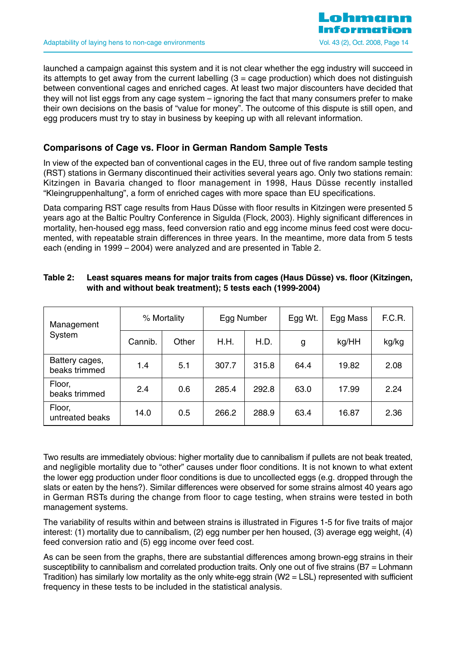

launched a campaign against this system and it is not clear whether the egg industry will succeed in its attempts to get away from the current labelling  $(3 = \text{cage production})$  which does not distinguish between conventional cages and enriched cages. At least two major discounters have decided that they will not list eggs from any cage system – ignoring the fact that many consumers prefer to make their own decisions on the basis of "value for money". The outcome of this dispute is still open, and egg producers must try to stay in business by keeping up with all relevant information.

# **Comparisons of Cage vs. Floor in German Random Sample Tests**

In view of the expected ban of conventional cages in the EU, three out of five random sample testing (RST) stations in Germany discontinued their activities several years ago. Only two stations remain: Kitzingen in Bavaria changed to floor management in 1998, Haus Düsse recently installed "Kleingruppenhaltung", a form of enriched cages with more space than EU specifications.

Data comparing RST cage results from Haus Düsse with floor results in Kitzingen were presented 5 years ago at the Baltic Poultry Conference in Sigulda (Flock, 2003). Highly significant differences in mortality, hen-housed egg mass, feed conversion ratio and egg income minus feed cost were documented, with repeatable strain differences in three years. In the meantime, more data from 5 tests each (ending in 1999 – 2004) were analyzed and are presented in Table 2.

| Management                      |         | % Mortality | Egg Number |       | Egg Wt. | Egg Mass | F.C.R. |
|---------------------------------|---------|-------------|------------|-------|---------|----------|--------|
| System                          | Cannib. | Other       | H.H.       | H.D.  | g       | kg/HH    | kg/kg  |
| Battery cages,<br>beaks trimmed | 1.4     | 5.1         | 307.7      | 315.8 | 64.4    | 19.82    | 2.08   |
| Floor,<br>beaks trimmed         | 2.4     | 0.6         | 285.4      | 292.8 | 63.0    | 17.99    | 2.24   |
| Floor,<br>untreated beaks       | 14.0    | 0.5         | 266.2      | 288.9 | 63.4    | 16.87    | 2.36   |

# **Table 2: Least squares means for major traits from cages (Haus Düsse) vs. floor (Kitzingen, with and without beak treatment); 5 tests each (1999-2004)**

Two results are immediately obvious: higher mortality due to cannibalism if pullets are not beak treated, and negligible mortality due to "other" causes under floor conditions. It is not known to what extent the lower egg production under floor conditions is due to uncollected eggs (e.g. dropped through the slats or eaten by the hens?). Similar differences were observed for some strains almost 40 years ago in German RSTs during the change from floor to cage testing, when strains were tested in both management systems.

The variability of results within and between strains is illustrated in Figures 1-5 for five traits of major interest: (1) mortality due to cannibalism, (2) egg number per hen housed, (3) average egg weight, (4) feed conversion ratio and (5) egg income over feed cost.

As can be seen from the graphs, there are substantial differences among brown-egg strains in their susceptibility to cannibalism and correlated production traits. Only one out of five strains (B7 = Lohmann Tradition) has similarly low mortality as the only white-egg strain ( $W2 = LSL$ ) represented with sufficient frequency in these tests to be included in the statistical analysis.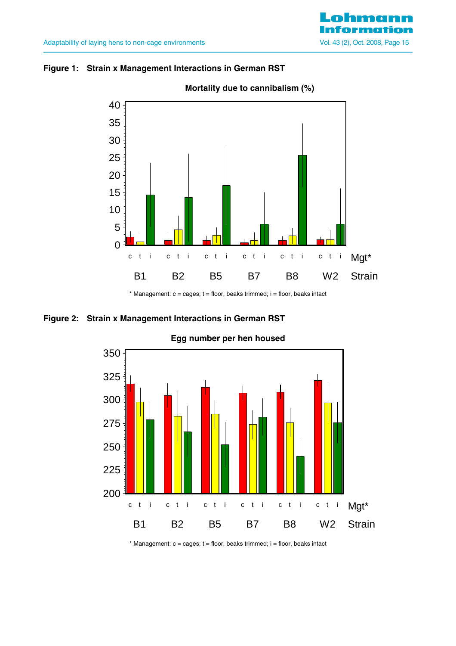# **Figure 1: Strain x Management Interactions in German RST**



# **Mortality due to cannibalism (%)**

 $*$  Management:  $c = \text{cages}$ ;  $t = \text{floor}$ , beaks trimmed;  $i = \text{floor}$ , beaks intact

# **Figure 2: Strain x Management Interactions in German RST**



# **Egg number per hen housed**

 $*$  Management:  $c = \text{cages}$ ;  $t = \text{floor}$ , beaks trimmed;  $i = \text{floor}$ , beaks intact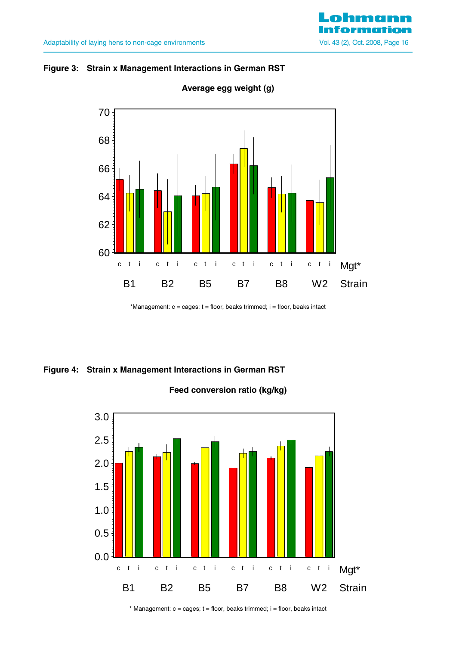



**Average egg weight (g)**

\*Management:  $c = \text{cages}$ ;  $t = \text{floor}$ , beaks trimmed;  $i = \text{floor}$ , beaks intact

# **Figure 4: Strain x Management Interactions in German RST**

**Feed conversion ratio (kg/kg)**



 $*$  Management:  $c = \text{cages}$ ;  $t = \text{floor}$ , beaks trimmed;  $i = \text{floor}$ , beaks intact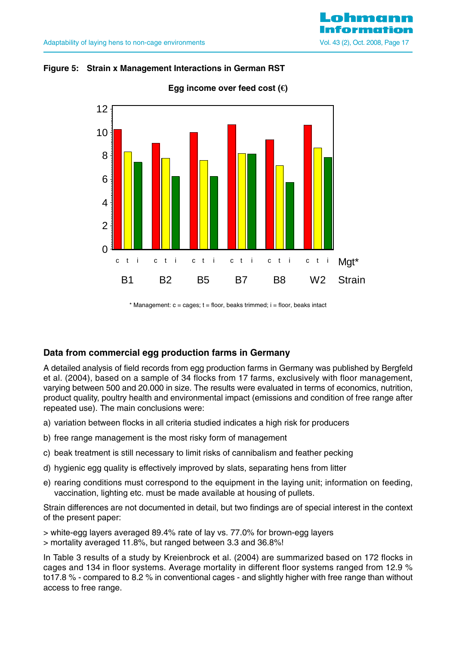



**Egg income over feed cost (€)**

 $*$  Management:  $c = \text{cages}$ ;  $t = \text{floor}$ , beaks trimmed;  $i = \text{floor}$ , beaks intact

# **Data from commercial egg production farms in Germany**

A detailed analysis of field records from egg production farms in Germany was published by Bergfeld et al. (2004), based on a sample of 34 flocks from 17 farms, exclusively with floor management, varying between 500 and 20.000 in size. The results were evaluated in terms of economics, nutrition, product quality, poultry health and environmental impact (emissions and condition of free range after repeated use). The main conclusions were:

- a) variation between flocks in all criteria studied indicates a high risk for producers
- b) free range management is the most risky form of management
- c) beak treatment is still necessary to limit risks of cannibalism and feather pecking
- d) hygienic egg quality is effectively improved by slats, separating hens from litter
- e) rearing conditions must correspond to the equipment in the laying unit; information on feeding, vaccination, lighting etc. must be made available at housing of pullets.

Strain differences are not documented in detail, but two findings are of special interest in the context of the present paper:

> white-egg layers averaged 89.4% rate of lay vs. 77.0% for brown-egg layers > mortality averaged 11.8%, but ranged between 3.3 and 36.8%!

In Table 3 results of a study by Kreienbrock et al. (2004) are summarized based on 172 flocks in cages and 134 in floor systems. Average mortality in different floor systems ranged from 12.9 % to17.8 % - compared to 8.2 % in conventional cages - and slightly higher with free range than without access to free range.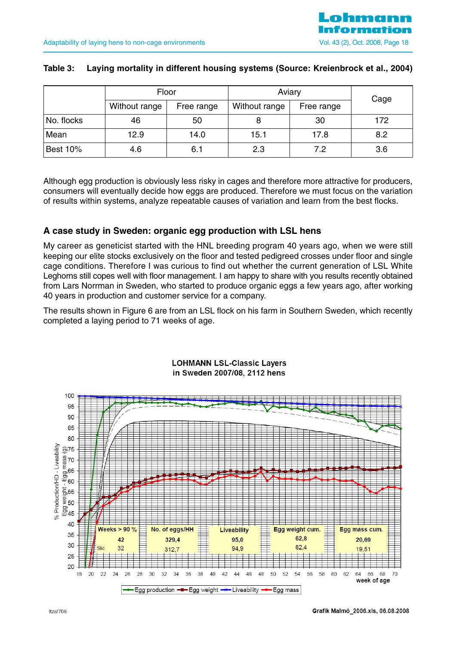# **Table 3: Laying mortality in different housing systems (Source: Kreienbrock et al., 2004)**

|                 |               | Floor      | Aviary        |            | Cage |  |
|-----------------|---------------|------------|---------------|------------|------|--|
|                 | Without range | Free range | Without range | Free range |      |  |
| No. flocks      | 46            | 50         |               | 30         | 172  |  |
| Mean            | 12.9          | 14.0       | 15.1          | 17.8       | 8.2  |  |
| <b>Best 10%</b> | 4.6           | 6.1        | 2.3           | 7.2        | 3.6  |  |

Although egg production is obviously less risky in cages and therefore more attractive for producers, consumers will eventually decide how eggs are produced. Therefore we must focus on the variation of results within systems, analyze repeatable causes of variation and learn from the best flocks.

# **A case study in Sweden: organic egg production with LSL hens**

My career as geneticist started with the HNL breeding program 40 years ago, when we were still keeping our elite stocks exclusively on the floor and tested pedigreed crosses under floor and single cage conditions. Therefore I was curious to find out whether the current generation of LSL White Leghorns still copes well with floor management. I am happy to share with you results recently obtained from Lars Norrman in Sweden, who started to produce organic eggs a few years ago, after working 40 years in production and customer service for a company.

The results shown in Figure 6 are from an LSL flock on his farm in Southern Sweden, which recently completed a laying period to 71 weeks of age.



**LOHMANN LSL-Classic Layers** in Sweden 2007/08, 2112 hens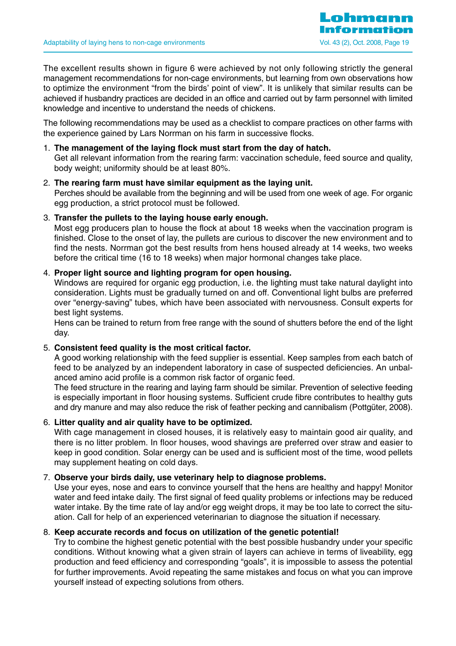The excellent results shown in figure 6 were achieved by not only following strictly the general management recommendations for non-cage environments, but learning from own observations how to optimize the environment "from the birds' point of view". It is unlikely that similar results can be achieved if husbandry practices are decided in an office and carried out by farm personnel with limited knowledge and incentive to understand the needs of chickens.

The following recommendations may be used as a checklist to compare practices on other farms with the experience gained by Lars Norrman on his farm in successive flocks.

# 1. **The management of the laying flock must start from the day of hatch.**

Get all relevant information from the rearing farm: vaccination schedule, feed source and quality, body weight; uniformity should be at least 80%.

#### 2. **The rearing farm must have similar equipment as the laying unit.**

Perches should be available from the beginning and will be used from one week of age. For organic egg production, a strict protocol must be followed.

# 3. **Transfer the pullets to the laying house early enough.**

Most egg producers plan to house the flock at about 18 weeks when the vaccination program is finished. Close to the onset of lay, the pullets are curious to discover the new environment and to find the nests. Norrman got the best results from hens housed already at 14 weeks, two weeks before the critical time (16 to 18 weeks) when major hormonal changes take place.

# 4. **Proper light source and lighting program for open housing.**

Windows are required for organic egg production, i.e. the lighting must take natural daylight into consideration. Lights must be gradually turned on and off. Conventional light bulbs are preferred over "energy-saving" tubes, which have been associated with nervousness. Consult experts for best light systems.

Hens can be trained to return from free range with the sound of shutters before the end of the light day.

#### 5. **Consistent feed quality is the most critical factor.**

A good working relationship with the feed supplier is essential. Keep samples from each batch of feed to be analyzed by an independent laboratory in case of suspected deficiencies. An unbalanced amino acid profile is a common risk factor of organic feed.

The feed structure in the rearing and laying farm should be similar. Prevention of selective feeding is especially important in floor housing systems. Sufficient crude fibre contributes to healthy guts and dry manure and may also reduce the risk of feather pecking and cannibalism (Pottgüter, 2008).

# 6. **Litter quality and air quality have to be optimized.**

With cage management in closed houses, it is relatively easy to maintain good air quality, and there is no litter problem. In floor houses, wood shavings are preferred over straw and easier to keep in good condition. Solar energy can be used and is sufficient most of the time, wood pellets may supplement heating on cold days.

#### 7. **Observe your birds daily, use veterinary help to diagnose problems.**

Use your eyes, nose and ears to convince yourself that the hens are healthy and happy! Monitor water and feed intake daily. The first signal of feed quality problems or infections may be reduced water intake. By the time rate of lay and/or egg weight drops, it may be too late to correct the situation. Call for help of an experienced veterinarian to diagnose the situation if necessary.

# 8. **Keep accurate records and focus on utilization of the genetic potential!**

Try to combine the highest genetic potential with the best possible husbandry under your specific conditions. Without knowing what a given strain of layers can achieve in terms of liveability, egg production and feed efficiency and corresponding "goals", it is impossible to assess the potential for further improvements. Avoid repeating the same mistakes and focus on what you can improve yourself instead of expecting solutions from others.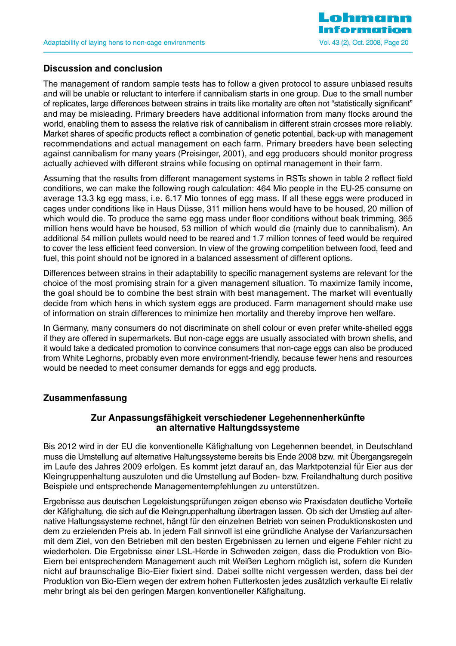

# **Discussion and conclusion**

The management of random sample tests has to follow a given protocol to assure unbiased results and will be unable or reluctant to interfere if cannibalism starts in one group. Due to the small number of replicates, large differences between strains in traits like mortality are often not "statistically significant" and may be misleading. Primary breeders have additional information from many flocks around the world, enabling them to assess the relative risk of cannibalism in different strain crosses more reliably. Market shares of specific products reflect a combination of genetic potential, back-up with management recommendations and actual management on each farm. Primary breeders have been selecting against cannibalism for many years (Preisinger, 2001), and egg producers should monitor progress actually achieved with different strains while focusing on optimal management in their farm.

Assuming that the results from different management systems in RSTs shown in table 2 reflect field conditions, we can make the following rough calculation: 464 Mio people in the EU-25 consume on average 13.3 kg egg mass, i.e. 6.17 Mio tonnes of egg mass. If all these eggs were produced in cages under conditions like in Haus Düsse, 311 million hens would have to be housed, 20 million of which would die. To produce the same egg mass under floor conditions without beak trimming, 365 million hens would have be housed, 53 million of which would die (mainly due to cannibalism). An additional 54 million pullets would need to be reared and 1.7 million tonnes of feed would be required to cover the less efficient feed conversion. In view of the growing competition between food, feed and fuel, this point should not be ignored in a balanced assessment of different options.

Differences between strains in their adaptability to specific management systems are relevant for the choice of the most promising strain for a given management situation. To maximize family income, the goal should be to combine the best strain with best management. The market will eventually decide from which hens in which system eggs are produced. Farm management should make use of information on strain differences to minimize hen mortality and thereby improve hen welfare.

In Germany, many consumers do not discriminate on shell colour or even prefer white-shelled eggs if they are offered in supermarkets. But non-cage eggs are usually associated with brown shells, and it would take a dedicated promotion to convince consumers that non-cage eggs can also be produced from White Leghorns, probably even more environment-friendly, because fewer hens and resources would be needed to meet consumer demands for eggs and egg products.

# **Zusammenfassung**

# **Zur Anpassungsfähigkeit verschiedener Legehennenherkünfte an alternative Haltungdssysteme**

Bis 2012 wird in der EU die konventionelle Käfighaltung von Legehennen beendet, in Deutschland muss die Umstellung auf alternative Haltungssysteme bereits bis Ende 2008 bzw. mit Übergangsregeln im Laufe des Jahres 2009 erfolgen. Es kommt jetzt darauf an, das Marktpotenzial für Eier aus der Kleingruppenhaltung auszuloten und die Umstellung auf Boden- bzw. Freilandhaltung durch positive Beispiele und entsprechende Managementempfehlungen zu unterstützen.

Ergebnisse aus deutschen Legeleistungsprüfungen zeigen ebenso wie Praxisdaten deutliche Vorteile der Käfighaltung, die sich auf die Kleingruppenhaltung übertragen lassen. Ob sich der Umstieg auf alternative Haltungssysteme rechnet, hängt für den einzelnen Betrieb von seinen Produktionskosten und dem zu erzielenden Preis ab. In jedem Fall sinnvoll ist eine gründliche Analyse der Varianzursachen mit dem Ziel, von den Betrieben mit den besten Ergebnissen zu lernen und eigene Fehler nicht zu wiederholen. Die Ergebnisse einer LSL-Herde in Schweden zeigen, dass die Produktion von Bio-Eiern bei entsprechendem Management auch mit Weißen Leghorn möglich ist, sofern die Kunden nicht auf braunschalige Bio-Eier fixiert sind. Dabei sollte nicht vergessen werden, dass bei der Produktion von Bio-Eiern wegen der extrem hohen Futterkosten jedes zusätzlich verkaufte Ei relativ mehr bringt als bei den geringen Margen konventioneller Käfighaltung.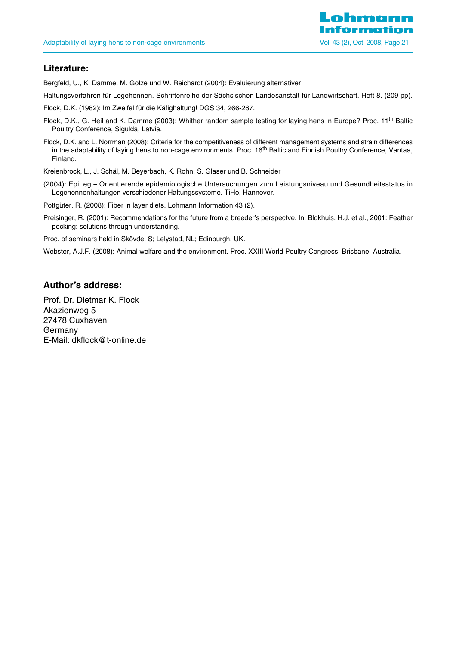

# **Literature:**

Bergfeld, U., K. Damme, M. Golze und W. Reichardt (2004): Evaluierung alternativer

Haltungsverfahren für Legehennen. Schriftenreihe der Sächsischen Landesanstalt für Landwirtschaft. Heft 8. (209 pp).

Flock, D.K. (1982): Im Zweifel für die Käfighaltung! DGS 34, 266-267.

- Flock, D.K., G. Heil and K. Damme (2003): Whither random sample testing for laying hens in Europe? Proc. 11<sup>th</sup> Baltic Poultry Conference, Sigulda, Latvia.
- Flock, D.K. and L. Norrman (2008): Criteria for the competitiveness of different management systems and strain differences in the adaptability of laying hens to non-cage environments. Proc. 16<sup>th</sup> Baltic and Finnish Poultry Conference, Vantaa, Finland.

Kreienbrock, L., J. Schäl, M. Beyerbach, K. Rohn, S. Glaser und B. Schneider

- (2004): EpiLeg Orientierende epidemiologische Untersuchungen zum Leistungsniveau und Gesundheitsstatus in Legehennenhaltungen verschiedener Haltungssysteme. TiHo, Hannover.
- Pottgüter, R. (2008): Fiber in layer diets. Lohmann Information 43 (2).
- Preisinger, R. (2001): Recommendations for the future from a breeder's perspectve. In: Blokhuis, H.J. et al., 2001: Feather pecking: solutions through understanding.

Proc. of seminars held in Skövde, S; Lelystad, NL; Edinburgh, UK.

Webster, A.J.F. (2008): Animal welfare and the environment. Proc. XXIII World Poultry Congress, Brisbane, Australia.

# **Author's address:**

Prof. Dr. Dietmar K. Flock Akazienweg 5 27478 Cuxhaven Germany E-Mail: dkflock@t-online.de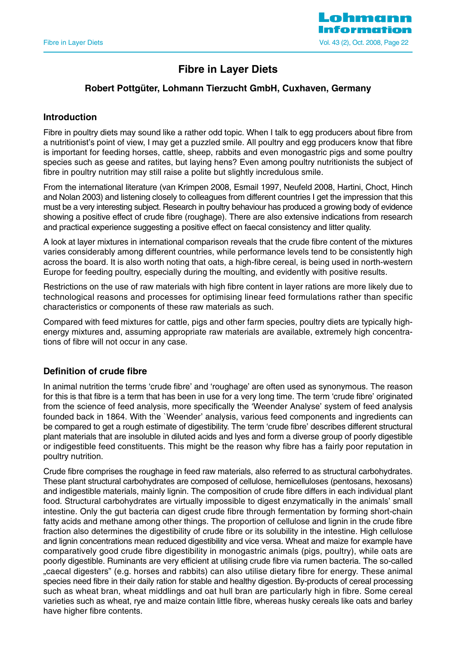

# **Fibre in Layer Diets**

# **Robert Pottgüter, Lohmann Tierzucht GmbH, Cuxhaven, Germany**

# **Introduction**

Fibre in poultry diets may sound like a rather odd topic. When I talk to egg producers about fibre from a nutritionist's point of view, I may get a puzzled smile. All poultry and egg producers know that fibre is important for feeding horses, cattle, sheep, rabbits and even monogastric pigs and some poultry species such as geese and ratites, but laying hens? Even among poultry nutritionists the subject of fibre in poultry nutrition may still raise a polite but slightly incredulous smile.

From the international literature (van Krimpen 2008, Esmail 1997, Neufeld 2008, Hartini, Choct, Hinch and Nolan 2003) and listening closely to colleagues from different countries I get the impression that this must be a very interesting subject. Research in poultry behaviour has produced a growing body of evidence showing a positive effect of crude fibre (roughage). There are also extensive indications from research and practical experience suggesting a positive effect on faecal consistency and litter quality.

A look at layer mixtures in international comparison reveals that the crude fibre content of the mixtures varies considerably among different countries, while performance levels tend to be consistently high across the board. It is also worth noting that oats, a high-fibre cereal, is being used in north-western Europe for feeding poultry, especially during the moulting, and evidently with positive results.

Restrictions on the use of raw materials with high fibre content in layer rations are more likely due to technological reasons and processes for optimising linear feed formulations rather than specific characteristics or components of these raw materials as such.

Compared with feed mixtures for cattle, pigs and other farm species, poultry diets are typically highenergy mixtures and, assuming appropriate raw materials are available, extremely high concentrations of fibre will not occur in any case.

# **Definition of crude fibre**

In animal nutrition the terms 'crude fibre' and 'roughage' are often used as synonymous. The reason for this is that fibre is a term that has been in use for a very long time. The term 'crude fibre' originated from the science of feed analysis, more specifically the 'Weender Analyse' system of feed analysis founded back in 1864. With the `Weender' analysis, various feed components and ingredients can be compared to get a rough estimate of digestibility. The term 'crude fibre' describes different structural plant materials that are insoluble in diluted acids and lyes and form a diverse group of poorly digestible or indigestible feed constituents. This might be the reason why fibre has a fairly poor reputation in poultry nutrition.

Crude fibre comprises the roughage in feed raw materials, also referred to as structural carbohydrates. These plant structural carbohydrates are composed of cellulose, hemicelluloses (pentosans, hexosans) and indigestible materials, mainly lignin. The composition of crude fibre differs in each individual plant food. Structural carbohydrates are virtually impossible to digest enzymatically in the animals' small intestine. Only the gut bacteria can digest crude fibre through fermentation by forming short-chain fatty acids and methane among other things. The proportion of cellulose and lignin in the crude fibre fraction also determines the digestibility of crude fibre or its solubility in the intestine. High cellulose and lignin concentrations mean reduced digestibility and vice versa. Wheat and maize for example have comparatively good crude fibre digestibility in monogastric animals (pigs, poultry), while oats are poorly digestible. Ruminants are very efficient at utilising crude fibre via rumen bacteria. The so-called "caecal digesters" (e.g. horses and rabbits) can also utilise dietary fibre for energy. These animal species need fibre in their daily ration for stable and healthy digestion. By-products of cereal processing such as wheat bran, wheat middlings and oat hull bran are particularly high in fibre. Some cereal varieties such as wheat, rye and maize contain little fibre, whereas husky cereals like oats and barley have higher fibre contents.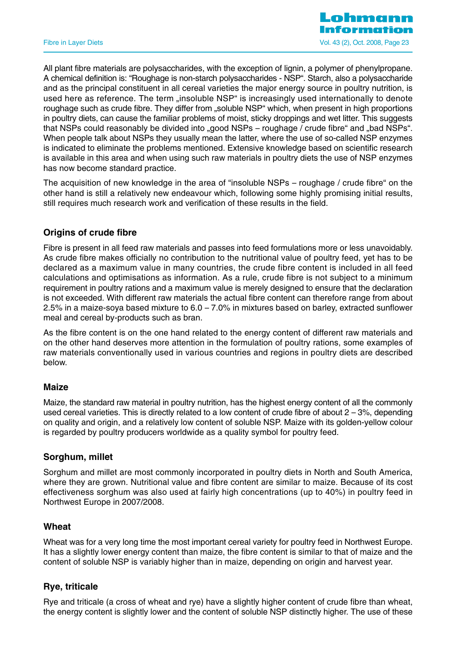

All plant fibre materials are polysaccharides, with the exception of lignin, a polymer of phenylpropane. A chemical definition is: "Roughage is non-starch polysaccharides - NSP". Starch, also a polysaccharide and as the principal constituent in all cereal varieties the major energy source in poultry nutrition, is used here as reference. The term "insoluble NSP" is increasingly used internationally to denote roughage such as crude fibre. They differ from "soluble NSP" which, when present in high proportions in poultry diets, can cause the familiar problems of moist, sticky droppings and wet litter. This suggests that NSPs could reasonably be divided into "good NSPs – roughage / crude fibre" and "bad NSPs". When people talk about NSPs they usually mean the latter, where the use of so-called NSP enzymes is indicated to eliminate the problems mentioned. Extensive knowledge based on scientific research is available in this area and when using such raw materials in poultry diets the use of NSP enzymes has now become standard practice.

The acquisition of new knowledge in the area of "insoluble NSPs – roughage / crude fibre" on the other hand is still a relatively new endeavour which, following some highly promising initial results, still requires much research work and verification of these results in the field.

# **Origins of crude fibre**

Fibre is present in all feed raw materials and passes into feed formulations more or less unavoidably. As crude fibre makes officially no contribution to the nutritional value of poultry feed, yet has to be declared as a maximum value in many countries, the crude fibre content is included in all feed calculations and optimisations as information. As a rule, crude fibre is not subject to a minimum requirement in poultry rations and a maximum value is merely designed to ensure that the declaration is not exceeded. With different raw materials the actual fibre content can therefore range from about 2.5% in a maize-soya based mixture to 6.0 – 7.0% in mixtures based on barley, extracted sunflower meal and cereal by-products such as bran.

As the fibre content is on the one hand related to the energy content of different raw materials and on the other hand deserves more attention in the formulation of poultry rations, some examples of raw materials conventionally used in various countries and regions in poultry diets are described below.

# **Maize**

Maize, the standard raw material in poultry nutrition, has the highest energy content of all the commonly used cereal varieties. This is directly related to a low content of crude fibre of about  $2 - 3\%$ , depending on quality and origin, and a relatively low content of soluble NSP. Maize with its golden-yellow colour is regarded by poultry producers worldwide as a quality symbol for poultry feed.

# **Sorghum, millet**

Sorghum and millet are most commonly incorporated in poultry diets in North and South America, where they are grown. Nutritional value and fibre content are similar to maize. Because of its cost effectiveness sorghum was also used at fairly high concentrations (up to 40%) in poultry feed in Northwest Europe in 2007/2008.

# **Wheat**

Wheat was for a very long time the most important cereal variety for poultry feed in Northwest Europe. It has a slightly lower energy content than maize, the fibre content is similar to that of maize and the content of soluble NSP is variably higher than in maize, depending on origin and harvest year.

# **Rye, triticale**

Rye and triticale (a cross of wheat and rye) have a slightly higher content of crude fibre than wheat, the energy content is slightly lower and the content of soluble NSP distinctly higher. The use of these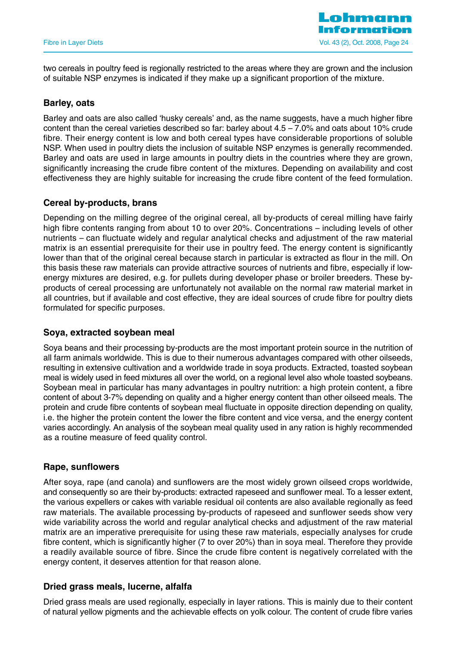

two cereals in poultry feed is regionally restricted to the areas where they are grown and the inclusion of suitable NSP enzymes is indicated if they make up a significant proportion of the mixture.

# **Barley, oats**

Barley and oats are also called 'husky cereals' and, as the name suggests, have a much higher fibre content than the cereal varieties described so far: barley about 4.5 – 7.0% and oats about 10% crude fibre. Their energy content is low and both cereal types have considerable proportions of soluble NSP. When used in poultry diets the inclusion of suitable NSP enzymes is generally recommended. Barley and oats are used in large amounts in poultry diets in the countries where they are grown, significantly increasing the crude fibre content of the mixtures. Depending on availability and cost effectiveness they are highly suitable for increasing the crude fibre content of the feed formulation.

# **Cereal by-products, brans**

Depending on the milling degree of the original cereal, all by-products of cereal milling have fairly high fibre contents ranging from about 10 to over 20%. Concentrations – including levels of other nutrients – can fluctuate widely and regular analytical checks and adjustment of the raw material matrix is an essential prerequisite for their use in poultry feed. The energy content is significantly lower than that of the original cereal because starch in particular is extracted as flour in the mill. On this basis these raw materials can provide attractive sources of nutrients and fibre, especially if lowenergy mixtures are desired, e.g. for pullets during developer phase or broiler breeders. These byproducts of cereal processing are unfortunately not available on the normal raw material market in all countries, but if available and cost effective, they are ideal sources of crude fibre for poultry diets formulated for specific purposes.

# **Soya, extracted soybean meal**

Soya beans and their processing by-products are the most important protein source in the nutrition of all farm animals worldwide. This is due to their numerous advantages compared with other oilseeds, resulting in extensive cultivation and a worldwide trade in soya products. Extracted, toasted soybean meal is widely used in feed mixtures all over the world, on a regional level also whole toasted soybeans. Soybean meal in particular has many advantages in poultry nutrition: a high protein content, a fibre content of about 3-7% depending on quality and a higher energy content than other oilseed meals. The protein and crude fibre contents of soybean meal fluctuate in opposite direction depending on quality, i.e. the higher the protein content the lower the fibre content and vice versa, and the energy content varies accordingly. An analysis of the soybean meal quality used in any ration is highly recommended as a routine measure of feed quality control.

# **Rape, sunflowers**

After soya, rape (and canola) and sunflowers are the most widely grown oilseed crops worldwide, and consequently so are their by-products: extracted rapeseed and sunflower meal. To a lesser extent, the various expellers or cakes with variable residual oil contents are also available regionally as feed raw materials. The available processing by-products of rapeseed and sunflower seeds show very wide variability across the world and regular analytical checks and adjustment of the raw material matrix are an imperative prerequisite for using these raw materials, especially analyses for crude fibre content, which is significantly higher (7 to over 20%) than in soya meal. Therefore they provide a readily available source of fibre. Since the crude fibre content is negatively correlated with the energy content, it deserves attention for that reason alone.

# **Dried grass meals, lucerne, alfalfa**

Dried grass meals are used regionally, especially in layer rations. This is mainly due to their content of natural yellow pigments and the achievable effects on yolk colour. The content of crude fibre varies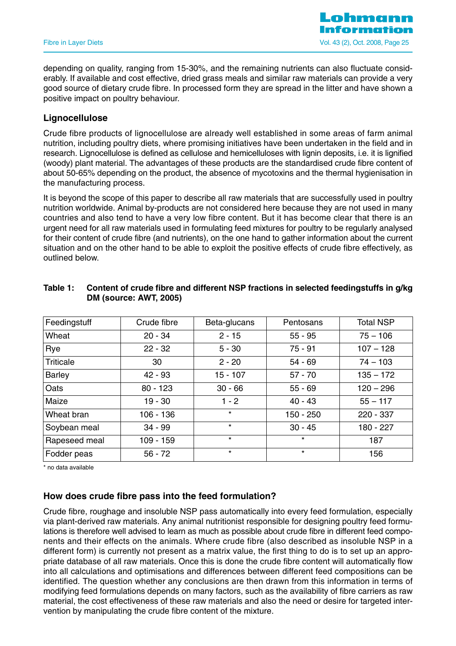depending on quality, ranging from 15-30%, and the remaining nutrients can also fluctuate considerably. If available and cost effective, dried grass meals and similar raw materials can provide a very good source of dietary crude fibre. In processed form they are spread in the litter and have shown a positive impact on poultry behaviour.

# **Lignocellulose**

Crude fibre products of lignocellulose are already well established in some areas of farm animal nutrition, including poultry diets, where promising initiatives have been undertaken in the field and in research. Lignocellulose is defined as cellulose and hemicelluloses with lignin deposits, i.e. it is lignified (woody) plant material. The advantages of these products are the standardised crude fibre content of about 50-65% depending on the product, the absence of mycotoxins and the thermal hygienisation in the manufacturing process.

It is beyond the scope of this paper to describe all raw materials that are successfully used in poultry nutrition worldwide. Animal by-products are not considered here because they are not used in many countries and also tend to have a very low fibre content. But it has become clear that there is an urgent need for all raw materials used in formulating feed mixtures for poultry to be regularly analysed for their content of crude fibre (and nutrients), on the one hand to gather information about the current situation and on the other hand to be able to exploit the positive effects of crude fibre effectively, as outlined below.

| Feedingstuff     | Crude fibre | Beta-glucans | Pentosans   | <b>Total NSP</b> |
|------------------|-------------|--------------|-------------|------------------|
| Wheat            | $20 - 34$   | $2 - 15$     | $55 - 95$   | $75 - 106$       |
| Rye              | $22 - 32$   | $5 - 30$     | $75 - 91$   | $107 - 128$      |
| <b>Triticale</b> | 30          | $2 - 20$     | $54 - 69$   | $74 - 103$       |
| <b>Barley</b>    | 42 - 93     | $15 - 107$   | $57 - 70$   | $135 - 172$      |
| Oats             | $80 - 123$  | $30 - 66$    | $55 - 69$   | $120 - 296$      |
| Maize            | $19 - 30$   | $1 - 2$      | $40 - 43$   | $55 - 117$       |
| Wheat bran       | $106 - 136$ | $\star$      | $150 - 250$ | 220 - 337        |
| Soybean meal     | $34 - 99$   | $\star$      | $30 - 45$   | 180 - 227        |
| Rapeseed meal    | 109 - 159   | $\star$      | $\star$     | 187              |
| Fodder peas      | $56 - 72$   | $\star$      | $\star$     | 156              |

# **Table 1: Content of crude fibre and different NSP fractions in selected feedingstuffs in g/kg DM (source: AWT, 2005)**

\* no data available

# **How does crude fibre pass into the feed formulation?**

Crude fibre, roughage and insoluble NSP pass automatically into every feed formulation, especially via plant-derived raw materials. Any animal nutritionist responsible for designing poultry feed formulations is therefore well advised to learn as much as possible about crude fibre in different feed components and their effects on the animals. Where crude fibre (also described as insoluble NSP in a different form) is currently not present as a matrix value, the first thing to do is to set up an appropriate database of all raw materials. Once this is done the crude fibre content will automatically flow into all calculations and optimisations and differences between different feed compositions can be identified. The question whether any conclusions are then drawn from this information in terms of modifying feed formulations depends on many factors, such as the availability of fibre carriers as raw material, the cost effectiveness of these raw materials and also the need or desire for targeted intervention by manipulating the crude fibre content of the mixture.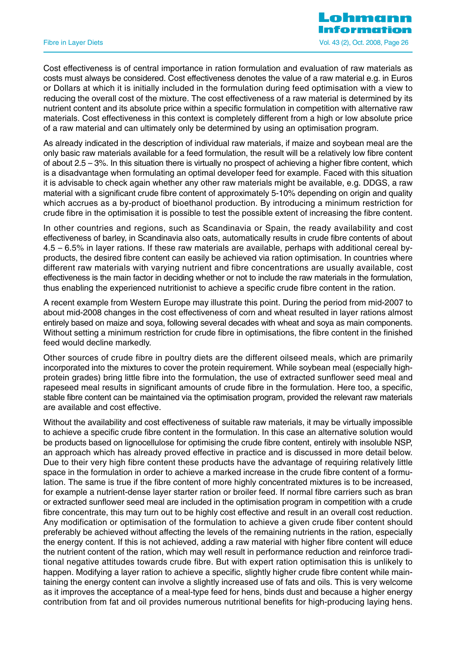Cost effectiveness is of central importance in ration formulation and evaluation of raw materials as costs must always be considered. Cost effectiveness denotes the value of a raw material e.g. in Euros or Dollars at which it is initially included in the formulation during feed optimisation with a view to reducing the overall cost of the mixture. The cost effectiveness of a raw material is determined by its nutrient content and its absolute price within a specific formulation in competition with alternative raw materials. Cost effectiveness in this context is completely different from a high or low absolute price of a raw material and can ultimately only be determined by using an optimisation program.

As already indicated in the description of individual raw materials, if maize and soybean meal are the only basic raw materials available for a feed formulation, the result will be a relatively low fibre content of about 2.5 – 3%. In this situation there is virtually no prospect of achieving a higher fibre content, which is a disadvantage when formulating an optimal developer feed for example. Faced with this situation it is advisable to check again whether any other raw materials might be available, e.g. DDGS, a raw material with a significant crude fibre content of approximately 5-10% depending on origin and quality which accrues as a by-product of bioethanol production. By introducing a minimum restriction for crude fibre in the optimisation it is possible to test the possible extent of increasing the fibre content.

In other countries and regions, such as Scandinavia or Spain, the ready availability and cost effectiveness of barley, in Scandinavia also oats, automatically results in crude fibre contents of about 4.5 – 6.5% in layer rations. If these raw materials are available, perhaps with additional cereal byproducts, the desired fibre content can easily be achieved via ration optimisation. In countries where different raw materials with varying nutrient and fibre concentrations are usually available, cost effectiveness is the main factor in deciding whether or not to include the raw materials in the formulation, thus enabling the experienced nutritionist to achieve a specific crude fibre content in the ration.

A recent example from Western Europe may illustrate this point. During the period from mid-2007 to about mid-2008 changes in the cost effectiveness of corn and wheat resulted in layer rations almost entirely based on maize and soya, following several decades with wheat and soya as main components. Without setting a minimum restriction for crude fibre in optimisations, the fibre content in the finished feed would decline markedly.

Other sources of crude fibre in poultry diets are the different oilseed meals, which are primarily incorporated into the mixtures to cover the protein requirement. While soybean meal (especially highprotein grades) bring little fibre into the formulation, the use of extracted sunflower seed meal and rapeseed meal results in significant amounts of crude fibre in the formulation. Here too, a specific, stable fibre content can be maintained via the optimisation program, provided the relevant raw materials are available and cost effective.

Without the availability and cost effectiveness of suitable raw materials, it may be virtually impossible to achieve a specific crude fibre content in the formulation. In this case an alternative solution would be products based on lignocellulose for optimising the crude fibre content, entirely with insoluble NSP, an approach which has already proved effective in practice and is discussed in more detail below. Due to their very high fibre content these products have the advantage of requiring relatively little space in the formulation in order to achieve a marked increase in the crude fibre content of a formulation. The same is true if the fibre content of more highly concentrated mixtures is to be increased, for example a nutrient-dense layer starter ration or broiler feed. If normal fibre carriers such as bran or extracted sunflower seed meal are included in the optimisation program in competition with a crude fibre concentrate, this may turn out to be highly cost effective and result in an overall cost reduction. Any modification or optimisation of the formulation to achieve a given crude fiber content should preferably be achieved without affecting the levels of the remaining nutrients in the ration, especially the energy content. If this is not achieved, adding a raw material with higher fibre content will educe the nutrient content of the ration, which may well result in performance reduction and reinforce traditional negative attitudes towards crude fibre. But with expert ration optimisation this is unlikely to happen. Modifying a layer ration to achieve a specific, slightly higher crude fibre content while maintaining the energy content can involve a slightly increased use of fats and oils. This is very welcome as it improves the acceptance of a meal-type feed for hens, binds dust and because a higher energy contribution from fat and oil provides numerous nutritional benefits for high-producing laying hens.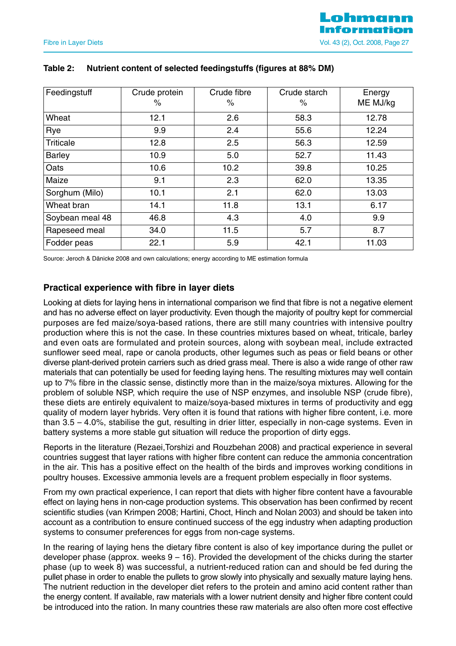| Feedingstuff     | Crude protein<br>℅ | Crude fibre<br>$\%$ | Crude starch<br>℅ | Energy<br>ME MJ/kg |
|------------------|--------------------|---------------------|-------------------|--------------------|
| Wheat            | 12.1               | 2.6                 | 58.3              | 12.78              |
| Rye              | 9.9                | 2.4                 | 55.6              | 12.24              |
| <b>Triticale</b> | 12.8               | 2.5                 | 56.3              | 12.59              |
| <b>Barley</b>    | 10.9               | 5.0                 | 52.7              | 11.43              |
| Oats             | 10.6               | 10.2                | 39.8              | 10.25              |
| Maize            | 9.1                | 2.3                 | 62.0              | 13.35              |
| Sorghum (Milo)   | 10.1               | 2.1                 | 62.0              | 13.03              |
| Wheat bran       | 14.1               | 11.8                | 13.1              | 6.17               |
| Soybean meal 48  | 46.8               | 4.3                 | 4.0               | 9.9                |
| Rapeseed meal    | 34.0               | 11.5                | 5.7               | 8.7                |
| Fodder peas      | 22.1               | 5.9                 | 42.1              | 11.03              |

# **Table 2: Nutrient content of selected feedingstuffs (figures at 88% DM)**

Source: Jeroch & Dänicke 2008 and own calculations; energy according to ME estimation formula

# **Practical experience with fibre in layer diets**

Looking at diets for laying hens in international comparison we find that fibre is not a negative element and has no adverse effect on layer productivity. Even though the majority of poultry kept for commercial purposes are fed maize/soya-based rations, there are still many countries with intensive poultry production where this is not the case. In these countries mixtures based on wheat, triticale, barley and even oats are formulated and protein sources, along with soybean meal, include extracted sunflower seed meal, rape or canola products, other legumes such as peas or field beans or other diverse plant-derived protein carriers such as dried grass meal. There is also a wide range of other raw materials that can potentially be used for feeding laying hens. The resulting mixtures may well contain up to 7% fibre in the classic sense, distinctly more than in the maize/soya mixtures. Allowing for the problem of soluble NSP, which require the use of NSP enzymes, and insoluble NSP (crude fibre), these diets are entirely equivalent to maize/soya-based mixtures in terms of productivity and egg quality of modern layer hybrids. Very often it is found that rations with higher fibre content, i.e. more than 3.5 – 4.0%, stabilise the gut, resulting in drier litter, especially in non-cage systems. Even in battery systems a more stable gut situation will reduce the proportion of dirty eggs.

Reports in the literature (Rezaei,Torshizi and Rouzbehan 2008) and practical experience in several countries suggest that layer rations with higher fibre content can reduce the ammonia concentration in the air. This has a positive effect on the health of the birds and improves working conditions in poultry houses. Excessive ammonia levels are a frequent problem especially in floor systems.

From my own practical experience, I can report that diets with higher fibre content have a favourable effect on laying hens in non-cage production systems. This observation has been confirmed by recent scientific studies (van Krimpen 2008; Hartini, Choct, Hinch and Nolan 2003) and should be taken into account as a contribution to ensure continued success of the egg industry when adapting production systems to consumer preferences for eggs from non-cage systems.

In the rearing of laying hens the dietary fibre content is also of key importance during the pullet or developer phase (approx. weeks  $9 - 16$ ). Provided the development of the chicks during the starter phase (up to week 8) was successful, a nutrient-reduced ration can and should be fed during the pullet phase in order to enable the pullets to grow slowly into physically and sexually mature laying hens. The nutrient reduction in the developer diet refers to the protein and amino acid content rather than the energy content. If available, raw materials with a lower nutrient density and higher fibre content could be introduced into the ration. In many countries these raw materials are also often more cost effective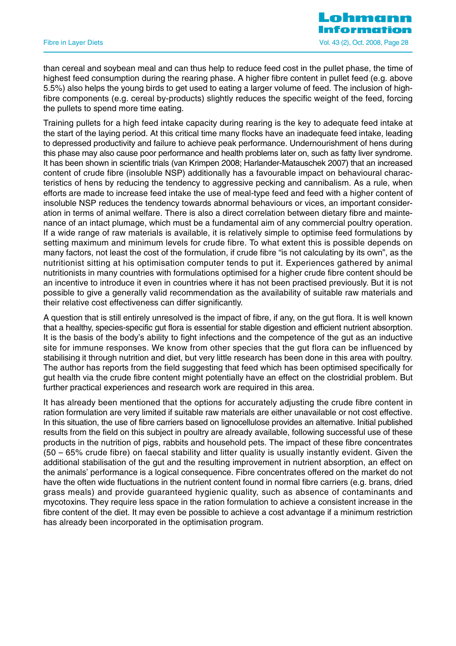than cereal and soybean meal and can thus help to reduce feed cost in the pullet phase, the time of highest feed consumption during the rearing phase. A higher fibre content in pullet feed (e.g. above 5.5%) also helps the young birds to get used to eating a larger volume of feed. The inclusion of highfibre components (e.g. cereal by-products) slightly reduces the specific weight of the feed, forcing the pullets to spend more time eating.

Training pullets for a high feed intake capacity during rearing is the key to adequate feed intake at the start of the laying period. At this critical time many flocks have an inadequate feed intake, leading to depressed productivity and failure to achieve peak performance. Undernourishment of hens during this phase may also cause poor performance and health problems later on, such as fatty liver syndrome. It has been shown in scientific trials (van Krimpen 2008; Harlander-Matauschek 2007) that an increased content of crude fibre (insoluble NSP) additionally has a favourable impact on behavioural characteristics of hens by reducing the tendency to aggressive pecking and cannibalism. As a rule, when efforts are made to increase feed intake the use of meal-type feed and feed with a higher content of insoluble NSP reduces the tendency towards abnormal behaviours or vices, an important consideration in terms of animal welfare. There is also a direct correlation between dietary fibre and maintenance of an intact plumage, which must be a fundamental aim of any commercial poultry operation. If a wide range of raw materials is available, it is relatively simple to optimise feed formulations by setting maximum and minimum levels for crude fibre. To what extent this is possible depends on many factors, not least the cost of the formulation, if crude fibre "is not calculating by its own", as the nutritionist sitting at his optimisation computer tends to put it. Experiences gathered by animal nutritionists in many countries with formulations optimised for a higher crude fibre content should be an incentive to introduce it even in countries where it has not been practised previously. But it is not possible to give a generally valid recommendation as the availability of suitable raw materials and their relative cost effectiveness can differ significantly.

A question that is still entirely unresolved is the impact of fibre, if any, on the gut flora. It is well known that a healthy, species-specific gut flora is essential for stable digestion and efficient nutrient absorption. It is the basis of the body's ability to fight infections and the competence of the gut as an inductive site for immune responses. We know from other species that the gut flora can be influenced by stabilising it through nutrition and diet, but very little research has been done in this area with poultry. The author has reports from the field suggesting that feed which has been optimised specifically for gut health via the crude fibre content might potentially have an effect on the clostridial problem. But further practical experiences and research work are required in this area.

It has already been mentioned that the options for accurately adjusting the crude fibre content in ration formulation are very limited if suitable raw materials are either unavailable or not cost effective. In this situation, the use of fibre carriers based on lignocellulose provides an alternative. Initial published results from the field on this subject in poultry are already available, following successful use of these products in the nutrition of pigs, rabbits and household pets. The impact of these fibre concentrates (50 – 65% crude fibre) on faecal stability and litter quality is usually instantly evident. Given the additional stabilisation of the gut and the resulting improvement in nutrient absorption, an effect on the animals' performance is a logical consequence. Fibre concentrates offered on the market do not have the often wide fluctuations in the nutrient content found in normal fibre carriers (e.g. brans, dried grass meals) and provide guaranteed hygienic quality, such as absence of contaminants and mycotoxins. They require less space in the ration formulation to achieve a consistent increase in the fibre content of the diet. It may even be possible to achieve a cost advantage if a minimum restriction has already been incorporated in the optimisation program.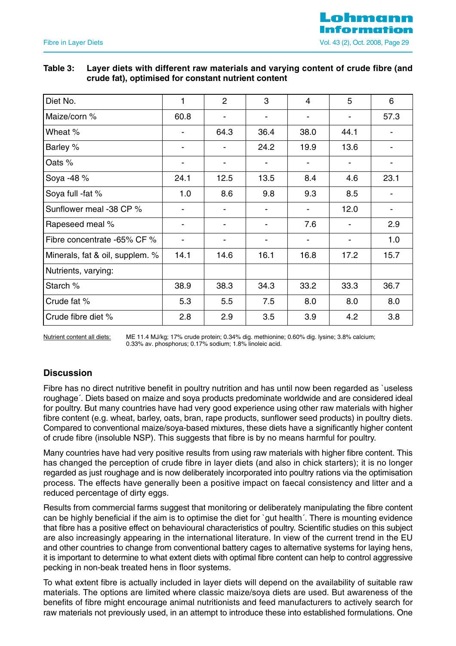# **Table 3: Layer diets with different raw materials and varying content of crude fibre (and crude fat), optimised for constant nutrient content**

| Diet No.                        | 1                        | 2                        | 3              | 4    | 5                        | 6                        |
|---------------------------------|--------------------------|--------------------------|----------------|------|--------------------------|--------------------------|
| Maize/corn %                    | 60.8                     | $\overline{\phantom{a}}$ | $\blacksquare$ | -    | $\overline{\phantom{a}}$ | 57.3                     |
| Wheat %                         | $\blacksquare$           | 64.3                     | 36.4           | 38.0 | 44.1                     | $\blacksquare$           |
| Barley %                        | $\blacksquare$           | $\blacksquare$           | 24.2           | 19.9 | 13.6                     | $\overline{\phantom{a}}$ |
| Oats %                          | $\overline{\phantom{a}}$ |                          |                |      |                          |                          |
| Soya -48 %                      | 24.1                     | 12.5                     | 13.5           | 8.4  | 4.6                      | 23.1                     |
| Soya full -fat %                | 1.0                      | 8.6                      | 9.8            | 9.3  | 8.5                      |                          |
| Sunflower meal -38 CP %         | $\overline{\phantom{a}}$ |                          |                |      | 12.0                     | $\overline{\phantom{a}}$ |
| Rapeseed meal %                 | $\blacksquare$           | $\blacksquare$           | $\blacksquare$ | 7.6  |                          | 2.9                      |
| Fibre concentrate -65% CF %     | $\overline{\phantom{a}}$ |                          |                |      |                          | 1.0                      |
| Minerals, fat & oil, supplem. % | 14.1                     | 14.6                     | 16.1           | 16.8 | 17.2                     | 15.7                     |
| Nutrients, varying:             |                          |                          |                |      |                          |                          |
| Starch %                        | 38.9                     | 38.3                     | 34.3           | 33.2 | 33.3                     | 36.7                     |
| Crude fat %                     | 5.3                      | 5.5                      | 7.5            | 8.0  | 8.0                      | 8.0                      |
| Crude fibre diet %              | 2.8                      | 2.9                      | 3.5            | 3.9  | 4.2                      | 3.8                      |

Nutrient content all diets: ME 11.4 MJ/kg; 17% crude protein; 0.34% dig. methionine; 0.60% dig. lysine; 3.8% calcium; 0.33% av. phosphorus; 0.17% sodium; 1.8% linoleic acid.

# **Discussion**

Fibre has no direct nutritive benefit in poultry nutrition and has until now been regarded as `useless roughage´. Diets based on maize and soya products predominate worldwide and are considered ideal for poultry. But many countries have had very good experience using other raw materials with higher fibre content (e.g. wheat, barley, oats, bran, rape products, sunflower seed products) in poultry diets. Compared to conventional maize/soya-based mixtures, these diets have a significantly higher content of crude fibre (insoluble NSP). This suggests that fibre is by no means harmful for poultry.

Many countries have had very positive results from using raw materials with higher fibre content. This has changed the perception of crude fibre in layer diets (and also in chick starters); it is no longer regarded as just roughage and is now deliberately incorporated into poultry rations via the optimisation process. The effects have generally been a positive impact on faecal consistency and litter and a reduced percentage of dirty eggs.

Results from commercial farms suggest that monitoring or deliberately manipulating the fibre content can be highly beneficial if the aim is to optimise the diet for `gut health´. There is mounting evidence that fibre has a positive effect on behavioural characteristics of poultry. Scientific studies on this subject are also increasingly appearing in the international literature. In view of the current trend in the EU and other countries to change from conventional battery cages to alternative systems for laying hens, it is important to determine to what extent diets with optimal fibre content can help to control aggressive pecking in non-beak treated hens in floor systems.

To what extent fibre is actually included in layer diets will depend on the availability of suitable raw materials. The options are limited where classic maize/soya diets are used. But awareness of the benefits of fibre might encourage animal nutritionists and feed manufacturers to actively search for raw materials not previously used, in an attempt to introduce these into established formulations. One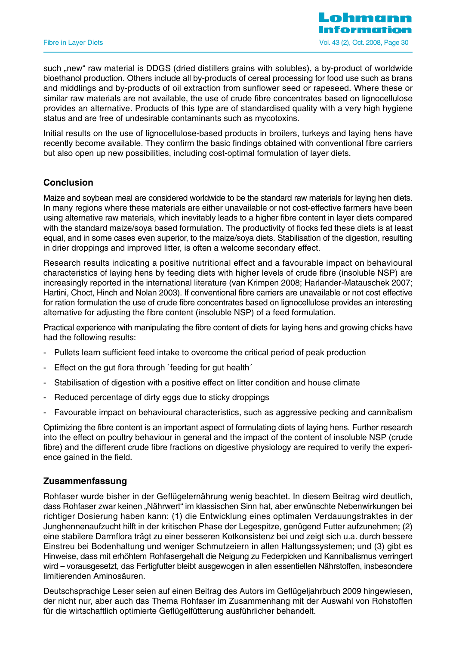such ..new" raw material is DDGS (dried distillers grains with solubles), a by-product of worldwide bioethanol production. Others include all by-products of cereal processing for food use such as brans and middlings and by-products of oil extraction from sunflower seed or rapeseed. Where these or similar raw materials are not available, the use of crude fibre concentrates based on lignocellulose provides an alternative. Products of this type are of standardised quality with a very high hygiene status and are free of undesirable contaminants such as mycotoxins.

Initial results on the use of lignocellulose-based products in broilers, turkeys and laying hens have recently become available. They confirm the basic findings obtained with conventional fibre carriers but also open up new possibilities, including cost-optimal formulation of layer diets.

# **Conclusion**

Maize and soybean meal are considered worldwide to be the standard raw materials for laying hen diets. In many regions where these materials are either unavailable or not cost-effective farmers have been using alternative raw materials, which inevitably leads to a higher fibre content in layer diets compared with the standard maize/soya based formulation. The productivity of flocks fed these diets is at least equal, and in some cases even superior, to the maize/soya diets. Stabilisation of the digestion, resulting in drier droppings and improved litter, is often a welcome secondary effect.

Research results indicating a positive nutritional effect and a favourable impact on behavioural characteristics of laying hens by feeding diets with higher levels of crude fibre (insoluble NSP) are increasingly reported in the international literature (van Krimpen 2008; Harlander-Matauschek 2007; Hartini, Choct, Hinch and Nolan 2003). If conventional fibre carriers are unavailable or not cost effective for ration formulation the use of crude fibre concentrates based on lignocellulose provides an interesting alternative for adjusting the fibre content (insoluble NSP) of a feed formulation.

Practical experience with manipulating the fibre content of diets for laying hens and growing chicks have had the following results:

- Pullets learn sufficient feed intake to overcome the critical period of peak production
- Effect on the gut flora through `feeding for gut health´
- Stabilisation of digestion with a positive effect on litter condition and house climate
- Reduced percentage of dirty eggs due to sticky droppings
- Favourable impact on behavioural characteristics, such as aggressive pecking and cannibalism

Optimizing the fibre content is an important aspect of formulating diets of laying hens. Further research into the effect on poultry behaviour in general and the impact of the content of insoluble NSP (crude fibre) and the different crude fibre fractions on digestive physiology are required to verify the experience gained in the field.

# **Zusammenfassung**

Rohfaser wurde bisher in der Geflügelernährung wenig beachtet. In diesem Beitrag wird deutlich, dass Rohfaser zwar keinen "Nährwert" im klassischen Sinn hat, aber erwünschte Nebenwirkungen bei richtiger Dosierung haben kann: (1) die Entwicklung eines optimalen Verdauungstraktes in der Junghennenaufzucht hilft in der kritischen Phase der Legespitze, genügend Futter aufzunehmen; (2) eine stabilere Darmflora trägt zu einer besseren Kotkonsistenz bei und zeigt sich u.a. durch bessere Einstreu bei Bodenhaltung und weniger Schmutzeiern in allen Haltungssystemen; und (3) gibt es Hinweise, dass mit erhöhtem Rohfasergehalt die Neigung zu Federpicken und Kannibalismus verringert wird – vorausgesetzt, das Fertigfutter bleibt ausgewogen in allen essentiellen Nährstoffen, insbesondere limitierenden Aminosäuren.

Deutschsprachige Leser seien auf einen Beitrag des Autors im Geflügeljahrbuch 2009 hingewiesen, der nicht nur, aber auch das Thema Rohfaser im Zusammenhang mit der Auswahl von Rohstoffen für die wirtschaftlich optimierte Geflügelfütterung ausführlicher behandelt.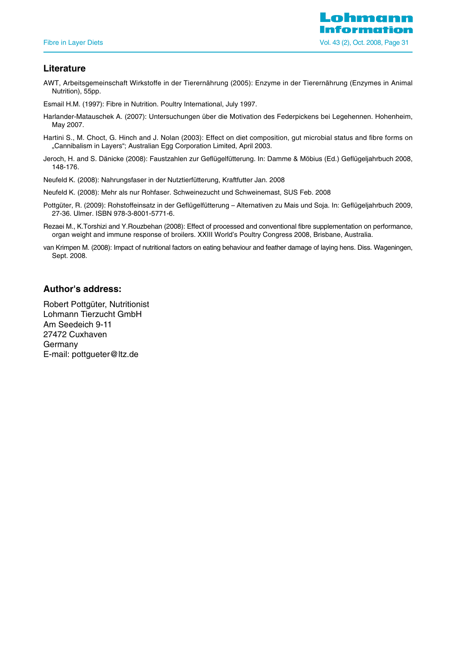# **Literature**

AWT, Arbeitsgemeinschaft Wirkstoffe in der Tierernährung (2005): Enzyme in der Tierernährung (Enzymes in Animal Nutrition), 55pp.

Esmail H.M. (1997): Fibre in Nutrition. Poultry International, July 1997.

- Harlander-Matauschek A. (2007): Untersuchungen über die Motivation des Federpickens bei Legehennen. Hohenheim, May 2007.
- Hartini S., M. Choct, G. Hinch and J. Nolan (2003): Effect on diet composition, gut microbial status and fibre forms on "Cannibalism in Layers"; Australian Egg Corporation Limited, April 2003.
- Jeroch, H. and S. Dänicke (2008): Faustzahlen zur Geflügelfütterung. In: Damme & Möbius (Ed.) Geflügeljahrbuch 2008, 148-176.
- Neufeld K. (2008): Nahrungsfaser in der Nutztierfütterung, Kraftfutter Jan. 2008
- Neufeld K. (2008): Mehr als nur Rohfaser. Schweinezucht und Schweinemast, SUS Feb. 2008
- Pottgüter, R. (2009): Rohstoffeinsatz in der Geflügelfütterung Alternativen zu Mais und Soja. In: Geflügeljahrbuch 2009, 27-36. Ulmer. ISBN 978-3-8001-5771-6.
- Rezaei M., K.Torshizi and Y.Rouzbehan (2008): Effect of processed and conventional fibre supplementation on performance, organ weight and immune response of broilers. XXIII World's Poultry Congress 2008, Brisbane, Australia.
- van Krimpen M. (2008): Impact of nutritional factors on eating behaviour and feather damage of laying hens. Diss. Wageningen, Sept. 2008.

# **Author's address:**

Robert Pottgüter, Nutritionist Lohmann Tierzucht GmbH Am Seedeich 9-11 27472 Cuxhaven Germany E-mail: pottgueter@ltz.de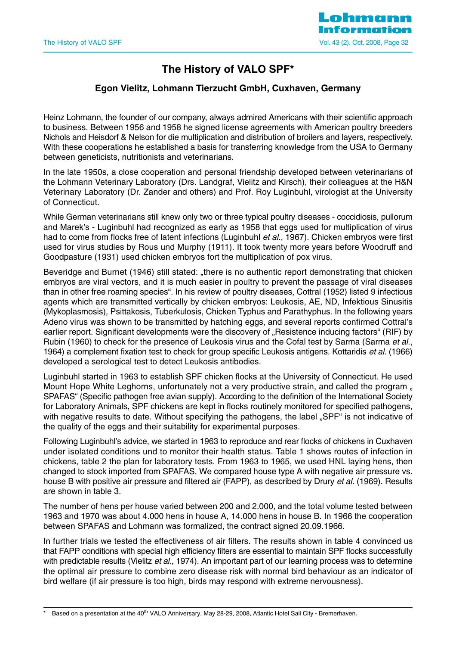

# **The History of VALO SPF\***

# **Egon Vielitz, Lohmann Tierzucht GmbH, Cuxhaven, Germany**

Heinz Lohmann, the founder of our company, always admired Americans with their scientific approach to business. Between 1956 and 1958 he signed license agreements with American poultry breeders Nichols and Heisdorf & Nelson for die multiplication and distribution of broilers and layers, respectively. With these cooperations he established a basis for transferring knowledge from the USA to Germany between geneticists, nutritionists and veterinarians.

In the late 1950s, a close cooperation and personal friendship developed between veterinarians of the Lohmann Veterinary Laboratory (Drs. Landgraf, Vielitz and Kirsch), their colleagues at the H&N Veterinary Laboratory (Dr. Zander and others) and Prof. Roy Luginbuhl, virologist at the University of Connecticut.

While German veterinarians still knew only two or three typical poultry diseases - coccidiosis, pullorum and Marek's - Luginbuhl had recognized as early as 1958 that eggs used for multiplication of virus had to come from flocks free of latent infections (Luginbuhl et al., 1967). Chicken embryos were first used for virus studies by Rous und Murphy (1911). It took twenty more years before Woodruff and Goodpasture (1931) used chicken embryos fort the multiplication of pox virus.

Beveridge and Burnet (1946) still stated: "there is no authentic report demonstrating that chicken embryos are viral vectors, and it is much easier in poultry to prevent the passage of viral diseases than in other free roaming species". In his review of poultry diseases, Cottral (1952) listed 9 infectious agents which are transmitted vertically by chicken embryos: Leukosis, AE, ND, Infektious Sinusitis (Mykoplasmosis), Psittakosis, Tuberkulosis, Chicken Typhus and Parathyphus. In the following years Adeno virus was shown to be transmitted by hatching eggs, and several reports confirmed Cottral's earlier report. Significant developments were the discovery of "Resistence inducing factors" (RIF) by Rubin (1960) to check for the presence of Leukosis virus and the Cofal test by Sarma (Sarma et al., 1964) a complement fixation test to check for group specific Leukosis antigens. Kottaridis et al. (1966) developed a serological test to detect Leukosis antibodies.

Luginbuhl started in 1963 to establish SPF chicken flocks at the University of Connecticut. He used Mount Hope White Leghorns, unfortunately not a very productive strain, and called the program, SPAFAS" (Specific pathogen free avian supply). According to the definition of the International Society for Laboratory Animals, SPF chickens are kept in flocks routinely monitored for specified pathogens, with negative results to date. Without specifying the pathogens, the label "SPF" is not indicative of the quality of the eggs and their suitability for experimental purposes.

Following Luginbuhl's advice, we started in 1963 to reproduce and rear flocks of chickens in Cuxhaven under isolated conditions und to monitor their health status. Table 1 shows routes of infection in chickens, table 2 the plan for laboratory tests. From 1963 to 1965, we used HNL laying hens, then changed to stock imported from SPAFAS. We compared house type A with negative air pressure vs. house B with positive air pressure and filtered air (FAPP), as described by Drury et al. (1969). Results are shown in table 3.

The number of hens per house varied between 200 and 2.000, and the total volume tested between 1963 and 1970 was about 4.000 hens in house A, 14.000 hens in house B. In 1966 the cooperation between SPAFAS and Lohmann was formalized, the contract signed 20.09.1966.

In further trials we tested the effectiveness of air filters. The results shown in table 4 convinced us that FAPP conditions with special high efficiency filters are essential to maintain SPF flocks successfully with predictable results (Vielitz et al., 1974). An important part of our learning process was to determine the optimal air pressure to combine zero disease risk with normal bird behaviour as an indicator of bird welfare (if air pressure is too high, birds may respond with extreme nervousness).

Based on a presentation at the 40<sup>th</sup> VALO Anniversary, May 28-29, 2008, Atlantic Hotel Sail City - Bremerhaven.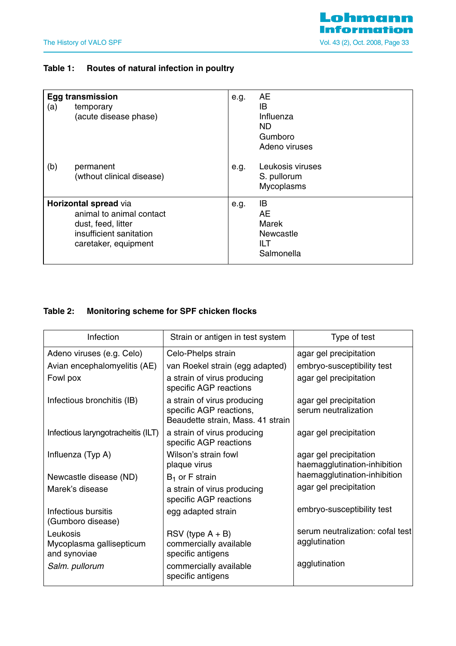# **Table 1: Routes of natural infection in poultry**

| (a) | <b>Egg transmission</b><br>temporary<br>(acute disease phase)                                                              | e.g. | AE<br>IB<br>Influenza<br>ND.<br>Gumboro<br>Adeno viruses    |
|-----|----------------------------------------------------------------------------------------------------------------------------|------|-------------------------------------------------------------|
| (b) | permanent<br>(wthout clinical disease)                                                                                     | e.g. | Leukosis viruses<br>S. pullorum<br>Mycoplasms               |
|     | Horizontal spread via<br>animal to animal contact<br>dust, feed, litter<br>insufficient sanitation<br>caretaker, equipment | e.g. | IB<br>AE.<br>Marek<br><b>Newcastle</b><br>ILT<br>Salmonella |

# **Table 2: Monitoring scheme for SPF chicken flocks**

| Infection                                            | Strain or antigen in test system                                                            | Type of test                                           |
|------------------------------------------------------|---------------------------------------------------------------------------------------------|--------------------------------------------------------|
| Adeno viruses (e.g. Celo)                            | Celo-Phelps strain                                                                          | agar gel precipitation                                 |
| Avian encephalomyelitis (AE)                         | van Roekel strain (egg adapted)                                                             | embryo-susceptibility test                             |
| Fowl pox                                             | a strain of virus producing<br>specific AGP reactions                                       | agar gel precipitation                                 |
| Infectious bronchitis (IB)                           | a strain of virus producing<br>specific AGP reactions,<br>Beaudette strain, Mass. 41 strain | agar gel precipitation<br>serum neutralization         |
| Infectious laryngotracheitis (ILT)                   | a strain of virus producing<br>specific AGP reactions                                       | agar gel precipitation                                 |
| Influenza (Typ A)                                    | Wilson's strain fowl<br>plaque virus                                                        | agar gel precipitation<br>haemagglutination-inhibition |
| Newcastle disease (ND)                               | $B_1$ or F strain                                                                           | haemagglutination-inhibition                           |
| Marek's disease                                      | a strain of virus producing<br>specific AGP reactions                                       | agar gel precipitation                                 |
| Infectious bursitis<br>(Gumboro disease)             | egg adapted strain                                                                          | embryo-susceptibility test                             |
| Leukosis<br>Mycoplasma gallisepticum<br>and synoviae | $RSV$ (type $A + B$ )<br>commercially available<br>specific antigens                        | serum neutralization: cofal test<br>agglutination      |
| Salm. pullorum                                       | commercially available<br>specific antigens                                                 | agglutination                                          |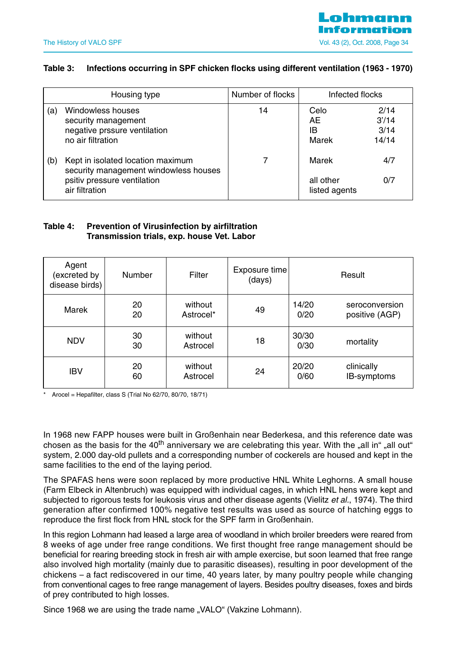# <u>nhmannn</u> The History of VALO SPF The History of VALO SPF The History of VALO SPF The History of VALO SPF The Table 34

# **Table 3: Infections occurring in SPF chicken flocks using different ventilation (1963 - 1970)**

|     | Housing type                                                                                                                | Number of flocks | Infected flocks                     |                                |
|-----|-----------------------------------------------------------------------------------------------------------------------------|------------------|-------------------------------------|--------------------------------|
| (a) | Windowless houses<br>security management<br>negative prssure ventilation<br>no air filtration                               | 14               | Celo<br>AE<br>IB<br>Marek           | 2/14<br>3'/14<br>3/14<br>14/14 |
| (b) | Kept in isolated location maximum<br>security management windowless houses<br>psitiv pressure ventilation<br>air filtration |                  | Marek<br>all other<br>listed agents | 4/7<br>0/7                     |

# **Table 4: Prevention of Virusinfection by airfiltration Transmission trials, exp. house Vet. Labor**

| Agent<br>excreted by)<br>disease birds) | <b>Number</b> | Filter               | Exposure time<br>(days) |               | Result                           |
|-----------------------------------------|---------------|----------------------|-------------------------|---------------|----------------------------------|
| <b>Marek</b>                            | 20<br>20      | without<br>Astrocel* | 49                      | 14/20<br>0/20 | seroconversion<br>positive (AGP) |
| <b>NDV</b>                              | 30<br>30      | without<br>Astrocel  | 18                      | 30/30<br>0/30 | mortality                        |
| <b>IBV</b>                              | 20<br>60      | without<br>Astrocel  | 24                      | 20/20<br>0/60 | clinically<br>IB-symptoms        |

 $A$ rocel = Hepafilter, class S (Trial No 62/70, 80/70, 18/71)

In 1968 new FAPP houses were built in Großenhain near Bederkesa, and this reference date was chosen as the basis for the  $40<sup>th</sup>$  anniversary we are celebrating this year. With the "all in" "all out" system, 2.000 day-old pullets and a corresponding number of cockerels are housed and kept in the same facilities to the end of the laying period.

The SPAFAS hens were soon replaced by more productive HNL White Leghorns. A small house (Farm Elbeck in Altenbruch) was equipped with individual cages, in which HNL hens were kept and subjected to rigorous tests for leukosis virus and other disease agents (Vielitz et al., 1974). The third generation after confirmed 100% negative test results was used as source of hatching eggs to reproduce the first flock from HNL stock for the SPF farm in Großenhain.

In this region Lohmann had leased a large area of woodland in which broiler breeders were reared from 8 weeks of age under free range conditions. We first thought free range management should be beneficial for rearing breeding stock in fresh air with ample exercise, but soon learned that free range also involved high mortality (mainly due to parasitic diseases), resulting in poor development of the chickens – a fact rediscovered in our time, 40 years later, by many poultry people while changing from conventional cages to free range management of layers. Besides poultry diseases, foxes and birds of prey contributed to high losses.

Since 1968 we are using the trade name "VALO" (Vakzine Lohmann).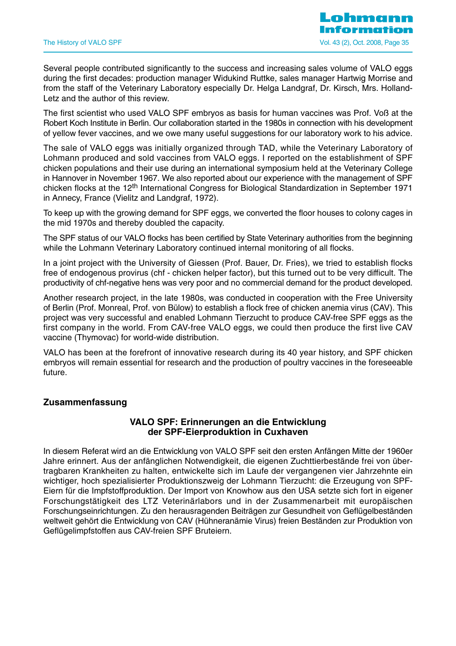Several people contributed significantly to the success and increasing sales volume of VALO eggs during the first decades: production manager Widukind Ruttke, sales manager Hartwig Morrise and from the staff of the Veterinary Laboratory especially Dr. Helga Landgraf, Dr. Kirsch, Mrs. Holland-Letz and the author of this review.

The first scientist who used VALO SPF embryos as basis for human vaccines was Prof. Voß at the Robert Koch Institute in Berlin. Our collaboration started in the 1980s in connection with his development of yellow fever vaccines, and we owe many useful suggestions for our laboratory work to his advice.

The sale of VALO eggs was initially organized through TAD, while the Veterinary Laboratory of Lohmann produced and sold vaccines from VALO eggs. I reported on the establishment of SPF chicken populations and their use during an international symposium held at the Veterinary College in Hannover in November 1967. We also reported about our experience with the management of SPF chicken flocks at the 12<sup>th</sup> International Congress for Biological Standardization in September 1971 in Annecy, France (Vielitz and Landgraf, 1972).

To keep up with the growing demand for SPF eggs, we converted the floor houses to colony cages in the mid 1970s and thereby doubled the capacity.

The SPF status of our VALO flocks has been certified by State Veterinary authorities from the beginning while the Lohmann Veterinary Laboratory continued internal monitoring of all flocks.

In a joint project with the University of Giessen (Prof. Bauer, Dr. Fries), we tried to establish flocks free of endogenous provirus (chf - chicken helper factor), but this turned out to be very difficult. The productivity of chf-negative hens was very poor and no commercial demand for the product developed.

Another research project, in the late 1980s, was conducted in cooperation with the Free University of Berlin (Prof. Monreal, Prof. von Bülow) to establish a flock free of chicken anemia virus (CAV). This project was very successful and enabled Lohmann Tierzucht to produce CAV-free SPF eggs as the first company in the world. From CAV-free VALO eggs, we could then produce the first live CAV vaccine (Thymovac) for world-wide distribution.

VALO has been at the forefront of innovative research during its 40 year history, and SPF chicken embryos will remain essential for research and the production of poultry vaccines in the foreseeable future.

# **Zusammenfassung**

# **VALO SPF: Erinnerungen an die Entwicklung der SPF-Eierproduktion in Cuxhaven**

In diesem Referat wird an die Entwicklung von VALO SPF seit den ersten Anfängen Mitte der 1960er Jahre erinnert. Aus der anfänglichen Notwendigkeit, die eigenen Zuchttierbestände frei von übertragbaren Krankheiten zu halten, entwickelte sich im Laufe der vergangenen vier Jahrzehnte ein wichtiger, hoch spezialisierter Produktionszweig der Lohmann Tierzucht: die Erzeugung von SPF-Eiern für die Impfstoffproduktion. Der Import von Knowhow aus den USA setzte sich fort in eigener Forschungstätigkeit des LTZ Veterinärlabors und in der Zusammenarbeit mit europäischen Forschungseinrichtungen. Zu den herausragenden Beiträgen zur Gesundheit von Geflügelbeständen weltweit gehört die Entwicklung von CAV (Hühneranämie Virus) freien Beständen zur Produktion von Geflügelimpfstoffen aus CAV-freien SPF Bruteiern.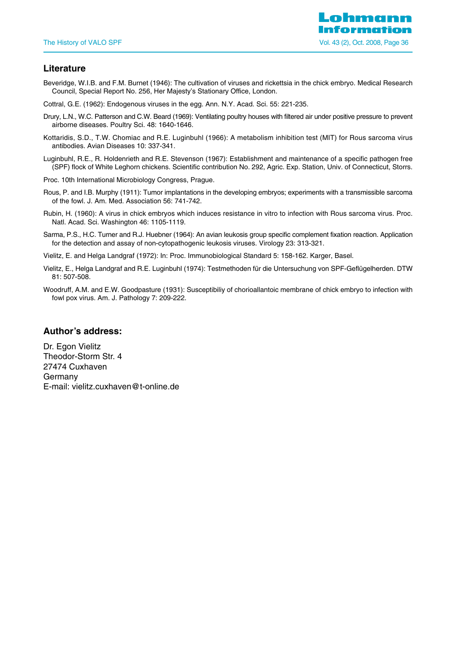

# **Literature**

Beveridge, W.I.B. and F.M. Burnet (1946): The cultivation of viruses and rickettsia in the chick embryo. Medical Research Council, Special Report No. 256, Her Majesty's Stationary Office, London.

Cottral, G.E. (1962): Endogenous viruses in the egg. Ann. N.Y. Acad. Sci. 55: 221-235.

- Drury, L.N., W.C. Patterson and C.W. Beard (1969): Ventilating poultry houses with filtered air under positive pressure to prevent airborne diseases. Poultry Sci. 48: 1640-1646.
- Kottaridis, S.D., T.W. Chomiac and R.E. Luginbuhl (1966): A metabolism inhibition test (MIT) for Rous sarcoma virus antibodies. Avian Diseases 10: 337-341.
- Luginbuhl, R.E., R. Holdenrieth and R.E. Stevenson (1967): Establishment and maintenance of a specific pathogen free (SPF) flock of White Leghorn chickens. Scientific contribution No. 292, Agric. Exp. Station, Univ. of Connecticut, Storrs.
- Proc. 10th International Microbiology Congress, Prague.
- Rous, P. and I.B. Murphy (1911): Tumor implantations in the developing embryos; experiments with a transmissible sarcoma of the fowl. J. Am. Med. Association 56: 741-742.
- Rubin, H. (1960): A virus in chick embryos which induces resistance in vitro to infection with Rous sarcoma virus. Proc. Natl. Acad. Sci. Washington 46: 1105-1119.
- Sarma, P.S., H.C. Turner and R.J. Huebner (1964): An avian leukosis group specific complement fixation reaction. Application for the detection and assay of non-cytopathogenic leukosis viruses. Virology 23: 313-321.
- Vielitz, E. and Helga Landgraf (1972): In: Proc. Immunobiological Standard 5: 158-162. Karger, Basel.
- Vielitz, E., Helga Landgraf and R.E. Luginbuhl (1974): Testmethoden für die Untersuchung von SPF-Geflügelherden. DTW 81: 507-508.
- Woodruff, A.M. and E.W. Goodpasture (1931): Susceptibiliy of chorioallantoic membrane of chick embryo to infection with fowl pox virus. Am. J. Pathology 7: 209-222.

#### **Author's address:**

Dr. Egon Vielitz Theodor-Storm Str. 4 27474 Cuxhaven Germany E-mail: vielitz.cuxhaven@t-online.de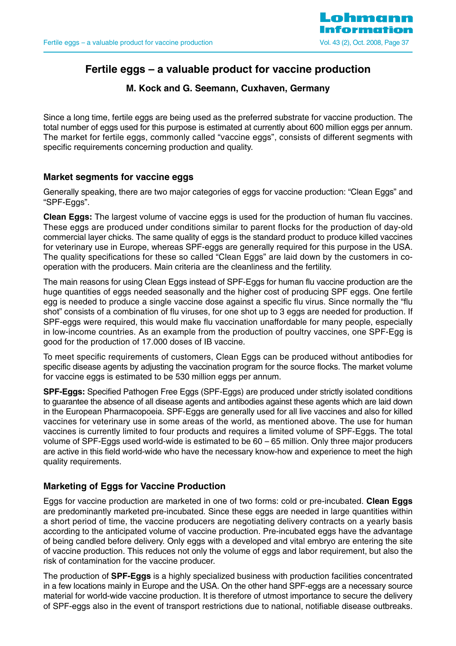

# **Fertile eggs – a valuable product for vaccine production**

# **M. Kock and G. Seemann, Cuxhaven, Germany**

Since a long time, fertile eggs are being used as the preferred substrate for vaccine production. The total number of eggs used for this purpose is estimated at currently about 600 million eggs per annum. The market for fertile eggs, commonly called "vaccine eggs", consists of different segments with specific requirements concerning production and quality.

# **Market segments for vaccine eggs**

Generally speaking, there are two major categories of eggs for vaccine production: "Clean Eggs" and "SPF-Eggs".

**Clean Eggs:** The largest volume of vaccine eggs is used for the production of human flu vaccines. These eggs are produced under conditions similar to parent flocks for the production of day-old commercial layer chicks. The same quality of eggs is the standard product to produce killed vaccines for veterinary use in Europe, whereas SPF-eggs are generally required for this purpose in the USA. The quality specifications for these so called "Clean Eggs" are laid down by the customers in cooperation with the producers. Main criteria are the cleanliness and the fertility.

The main reasons for using Clean Eggs instead of SPF-Eggs for human flu vaccine production are the huge quantities of eggs needed seasonally and the higher cost of producing SPF eggs. One fertile egg is needed to produce a single vaccine dose against a specific flu virus. Since normally the "flu shot" consists of a combination of flu viruses, for one shot up to 3 eggs are needed for production. If SPF-eggs were required, this would make flu vaccination unaffordable for many people, especially in low-income countries. As an example from the production of poultry vaccines, one SPF-Egg is good for the production of 17.000 doses of IB vaccine.

To meet specific requirements of customers, Clean Eggs can be produced without antibodies for specific disease agents by adjusting the vaccination program for the source flocks. The market volume for vaccine eggs is estimated to be 530 million eggs per annum.

**SPF-Eggs:** Specified Pathogen Free Eggs (SPF-Eggs) are produced under strictly isolated conditions to guarantee the absence of all disease agents and antibodies against these agents which are laid down in the European Pharmacopoeia. SPF-Eggs are generally used for all live vaccines and also for killed vaccines for veterinary use in some areas of the world, as mentioned above. The use for human vaccines is currently limited to four products and requires a limited volume of SPF-Eggs. The total volume of SPF-Eggs used world-wide is estimated to be 60 – 65 million. Only three major producers are active in this field world-wide who have the necessary know-how and experience to meet the high quality requirements.

# **Marketing of Eggs for Vaccine Production**

Eggs for vaccine production are marketed in one of two forms: cold or pre-incubated. **Clean Eggs** are predominantly marketed pre-incubated. Since these eggs are needed in large quantities within a short period of time, the vaccine producers are negotiating delivery contracts on a yearly basis according to the anticipated volume of vaccine production. Pre-incubated eggs have the advantage of being candled before delivery. Only eggs with a developed and vital embryo are entering the site of vaccine production. This reduces not only the volume of eggs and labor requirement, but also the risk of contamination for the vaccine producer.

The production of **SPF-Eggs** is a highly specialized business with production facilities concentrated in a few locations mainly in Europe and the USA. On the other hand SPF-eggs are a necessary source material for world-wide vaccine production. It is therefore of utmost importance to secure the delivery of SPF-eggs also in the event of transport restrictions due to national, notifiable disease outbreaks.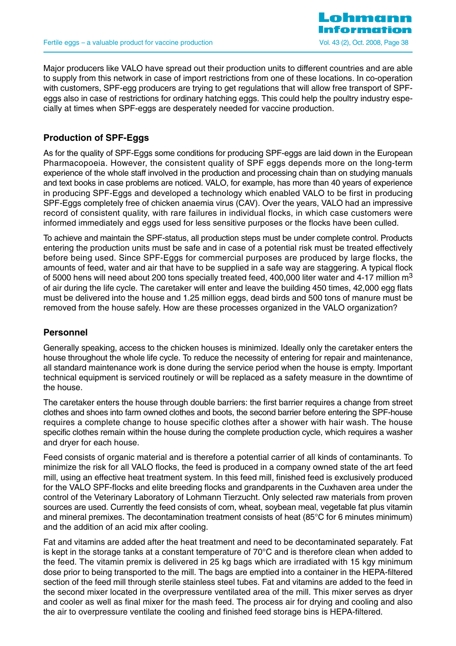

Major producers like VALO have spread out their production units to different countries and are able to supply from this network in case of import restrictions from one of these locations. In co-operation with customers, SPF-egg producers are trying to get regulations that will allow free transport of SPFeggs also in case of restrictions for ordinary hatching eggs. This could help the poultry industry especially at times when SPF-eggs are desperately needed for vaccine production.

# **Production of SPF-Eggs**

As for the quality of SPF-Eggs some conditions for producing SPF-eggs are laid down in the European Pharmacopoeia. However, the consistent quality of SPF eggs depends more on the long-term experience of the whole staff involved in the production and processing chain than on studying manuals and text books in case problems are noticed. VALO, for example, has more than 40 years of experience in producing SPF-Eggs and developed a technology which enabled VALO to be first in producing SPF-Eggs completely free of chicken anaemia virus (CAV). Over the years, VALO had an impressive record of consistent quality, with rare failures in individual flocks, in which case customers were informed immediately and eggs used for less sensitive purposes or the flocks have been culled.

To achieve and maintain the SPF-status, all production steps must be under complete control. Products entering the production units must be safe and in case of a potential risk must be treated effectively before being used. Since SPF-Eggs for commercial purposes are produced by large flocks, the amounts of feed, water and air that have to be supplied in a safe way are staggering. A typical flock of 5000 hens will need about 200 tons specially treated feed, 400,000 liter water and 4-17 million  $m<sup>3</sup>$ of air during the life cycle. The caretaker will enter and leave the building 450 times, 42,000 egg flats must be delivered into the house and 1.25 million eggs, dead birds and 500 tons of manure must be removed from the house safely. How are these processes organized in the VALO organization?

# **Personnel**

Generally speaking, access to the chicken houses is minimized. Ideally only the caretaker enters the house throughout the whole life cycle. To reduce the necessity of entering for repair and maintenance, all standard maintenance work is done during the service period when the house is empty. Important technical equipment is serviced routinely or will be replaced as a safety measure in the downtime of the house.

The caretaker enters the house through double barriers: the first barrier requires a change from street clothes and shoes into farm owned clothes and boots, the second barrier before entering the SPF-house requires a complete change to house specific clothes after a shower with hair wash. The house specific clothes remain within the house during the complete production cycle, which requires a washer and dryer for each house.

Feed consists of organic material and is therefore a potential carrier of all kinds of contaminants. To minimize the risk for all VALO flocks, the feed is produced in a company owned state of the art feed mill, using an effective heat treatment system. In this feed mill, finished feed is exclusively produced for the VALO SPF-flocks and elite breeding flocks and grandparents in the Cuxhaven area under the control of the Veterinary Laboratory of Lohmann Tierzucht. Only selected raw materials from proven sources are used. Currently the feed consists of corn, wheat, soybean meal, vegetable fat plus vitamin and mineral premixes. The decontamination treatment consists of heat (85°C for 6 minutes minimum) and the addition of an acid mix after cooling.

Fat and vitamins are added after the heat treatment and need to be decontaminated separately. Fat is kept in the storage tanks at a constant temperature of 70°C and is therefore clean when added to the feed. The vitamin premix is delivered in 25 kg bags which are irradiated with 15 kgy minimum dose prior to being transported to the mill. The bags are emptied into a container in the HEPA-filtered section of the feed mill through sterile stainless steel tubes. Fat and vitamins are added to the feed in the second mixer located in the overpressure ventilated area of the mill. This mixer serves as dryer and cooler as well as final mixer for the mash feed. The process air for drying and cooling and also the air to overpressure ventilate the cooling and finished feed storage bins is HEPA-filtered.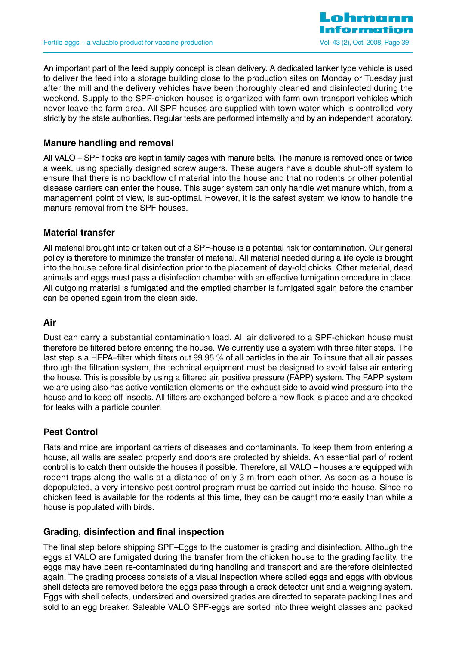

An important part of the feed supply concept is clean delivery. A dedicated tanker type vehicle is used to deliver the feed into a storage building close to the production sites on Monday or Tuesday just after the mill and the delivery vehicles have been thoroughly cleaned and disinfected during the weekend. Supply to the SPF-chicken houses is organized with farm own transport vehicles which never leave the farm area. All SPF houses are supplied with town water which is controlled very strictly by the state authorities. Regular tests are performed internally and by an independent laboratory.

# **Manure handling and removal**

All VALO – SPF flocks are kept in family cages with manure belts. The manure is removed once or twice a week, using specially designed screw augers. These augers have a double shut-off system to ensure that there is no backflow of material into the house and that no rodents or other potential disease carriers can enter the house. This auger system can only handle wet manure which, from a management point of view, is sub-optimal. However, it is the safest system we know to handle the manure removal from the SPF houses.

# **Material transfer**

All material brought into or taken out of a SPF-house is a potential risk for contamination. Our general policy is therefore to minimize the transfer of material. All material needed during a life cycle is brought into the house before final disinfection prior to the placement of day-old chicks. Other material, dead animals and eggs must pass a disinfection chamber with an effective fumigation procedure in place. All outgoing material is fumigated and the emptied chamber is fumigated again before the chamber can be opened again from the clean side.

# **Air**

Dust can carry a substantial contamination load. All air delivered to a SPF-chicken house must therefore be filtered before entering the house. We currently use a system with three filter steps. The last step is a HEPA–filter which filters out 99.95 % of all particles in the air. To insure that all air passes through the filtration system, the technical equipment must be designed to avoid false air entering the house. This is possible by using a filtered air, positive pressure (FAPP) system. The FAPP system we are using also has active ventilation elements on the exhaust side to avoid wind pressure into the house and to keep off insects. All filters are exchanged before a new flock is placed and are checked for leaks with a particle counter.

# **Pest Control**

Rats and mice are important carriers of diseases and contaminants. To keep them from entering a house, all walls are sealed properly and doors are protected by shields. An essential part of rodent control is to catch them outside the houses if possible. Therefore, all VALO – houses are equipped with rodent traps along the walls at a distance of only 3 m from each other. As soon as a house is depopulated, a very intensive pest control program must be carried out inside the house. Since no chicken feed is available for the rodents at this time, they can be caught more easily than while a house is populated with birds.

# **Grading, disinfection and final inspection**

The final step before shipping SPF–Eggs to the customer is grading and disinfection. Although the eggs at VALO are fumigated during the transfer from the chicken house to the grading facility, the eggs may have been re-contaminated during handling and transport and are therefore disinfected again. The grading process consists of a visual inspection where soiled eggs and eggs with obvious shell defects are removed before the eggs pass through a crack detector unit and a weighing system. Eggs with shell defects, undersized and oversized grades are directed to separate packing lines and sold to an egg breaker. Saleable VALO SPF-eggs are sorted into three weight classes and packed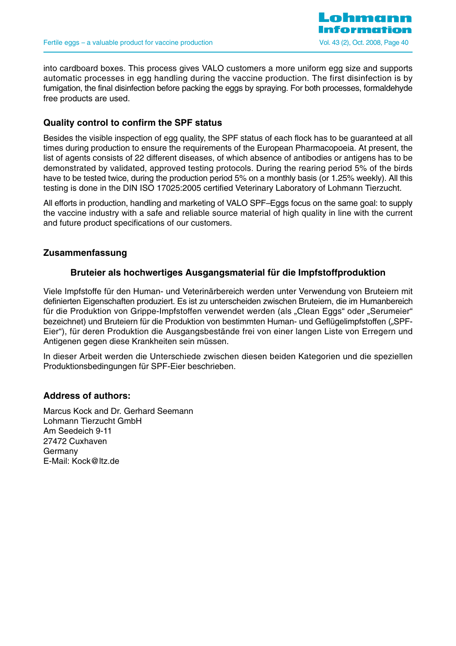

into cardboard boxes. This process gives VALO customers a more uniform egg size and supports automatic processes in egg handling during the vaccine production. The first disinfection is by fumigation, the final disinfection before packing the eggs by spraying. For both processes, formaldehyde free products are used.

# **Quality control to confirm the SPF status**

Besides the visible inspection of egg quality, the SPF status of each flock has to be guaranteed at all times during production to ensure the requirements of the European Pharmacopoeia. At present, the list of agents consists of 22 different diseases, of which absence of antibodies or antigens has to be demonstrated by validated, approved testing protocols. During the rearing period 5% of the birds have to be tested twice, during the production period 5% on a monthly basis (or 1.25% weekly). All this testing is done in the DIN ISO 17025:2005 certified Veterinary Laboratory of Lohmann Tierzucht.

All efforts in production, handling and marketing of VALO SPF–Eggs focus on the same goal: to supply the vaccine industry with a safe and reliable source material of high quality in line with the current and future product specifications of our customers.

# **Zusammenfassung**

# **Bruteier als hochwertiges Ausgangsmaterial für die Impfstoffproduktion**

Viele Impfstoffe für den Human- und Veterinärbereich werden unter Verwendung von Bruteiern mit definierten Eigenschaften produziert. Es ist zu unterscheiden zwischen Bruteiern, die im Humanbereich für die Produktion von Grippe-Impfstoffen verwendet werden (als "Clean Eggs" oder "Serumeier" bezeichnet) und Bruteiern für die Produktion von bestimmten Human- und Geflügelimpfstoffen ("SPF-Eier"), für deren Produktion die Ausgangsbestände frei von einer langen Liste von Erregern und Antigenen gegen diese Krankheiten sein müssen.

In dieser Arbeit werden die Unterschiede zwischen diesen beiden Kategorien und die speziellen Produktionsbedingungen für SPF-Eier beschrieben.

# **Address of authors:**

Marcus Kock and Dr. Gerhard Seemann Lohmann Tierzucht GmbH Am Seedeich 9-11 27472 Cuxhaven Germany E-Mail: Kock@ltz.de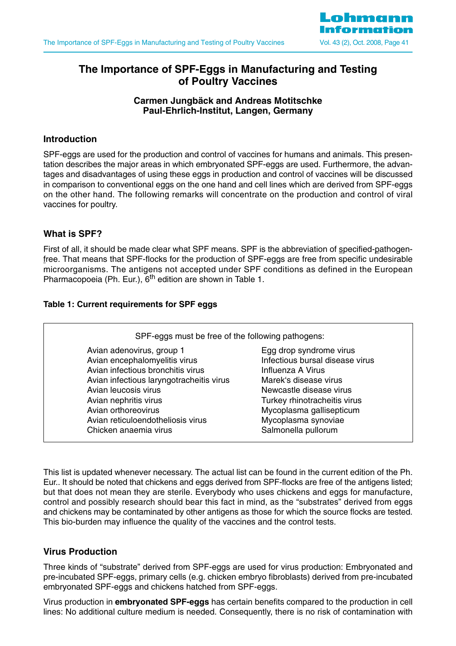

# **The Importance of SPF-Eggs in Manufacturing and Testing of Poultry Vaccines**

# **Carmen Jungbäck and Andreas Motitschke Paul-Ehrlich-Institut, Langen, Germany**

# **Introduction**

SPF-eggs are used for the production and control of vaccines for humans and animals. This presentation describes the major areas in which embryonated SPF-eggs are used. Furthermore, the advantages and disadvantages of using these eggs in production and control of vaccines will be discussed in comparison to conventional eggs on the one hand and cell lines which are derived from SPF-eggs on the other hand. The following remarks will concentrate on the production and control of viral vaccines for poultry.

# **What is SPF?**

First of all, it should be made clear what SPF means. SPF is the abbreviation of specified-pathogenfree. That means that SPF-flocks for the production of SPF-eggs are free from specific undesirable microorganisms. The antigens not accepted under SPF conditions as defined in the European Pharmacopoeia (Ph. Eur.), 6<sup>th</sup> edition are shown in Table 1.

# **Table 1: Current requirements for SPF eggs**

| SPF-eggs must be free of the following pathogens: |                                 |
|---------------------------------------------------|---------------------------------|
| Avian adenovirus, group 1                         | Egg drop syndrome virus         |
| Avian encephalomyelitis virus                     | Infectious bursal disease virus |
| Avian infectious bronchitis virus                 | Influenza A Virus               |
| Avian infectious laryngotracheitis virus          | Marek's disease virus           |
| Avian leucosis virus                              | Newcastle disease virus         |
| Avian nephritis virus                             | Turkey rhinotracheitis virus    |
| Avian orthoreovirus                               | Mycoplasma gallisepticum        |
| Avian reticuloendotheliosis virus                 | Mycoplasma synoviae             |
| Chicken anaemia virus                             | Salmonella pullorum             |

This list is updated whenever necessary. The actual list can be found in the current edition of the Ph. Eur.. It should be noted that chickens and eggs derived from SPF-flocks are free of the antigens listed; but that does not mean they are sterile. Everybody who uses chickens and eggs for manufacture, control and possibly research should bear this fact in mind, as the "substrates" derived from eggs and chickens may be contaminated by other antigens as those for which the source flocks are tested. This bio-burden may influence the quality of the vaccines and the control tests.

# **Virus Production**

Three kinds of "substrate" derived from SPF-eggs are used for virus production: Embryonated and pre-incubated SPF-eggs, primary cells (e.g. chicken embryo fibroblasts) derived from pre-incubated embryonated SPF-eggs and chickens hatched from SPF-eggs.

Virus production in **embryonated SPF-eggs** has certain benefits compared to the production in cell lines: No additional culture medium is needed. Consequently, there is no risk of contamination with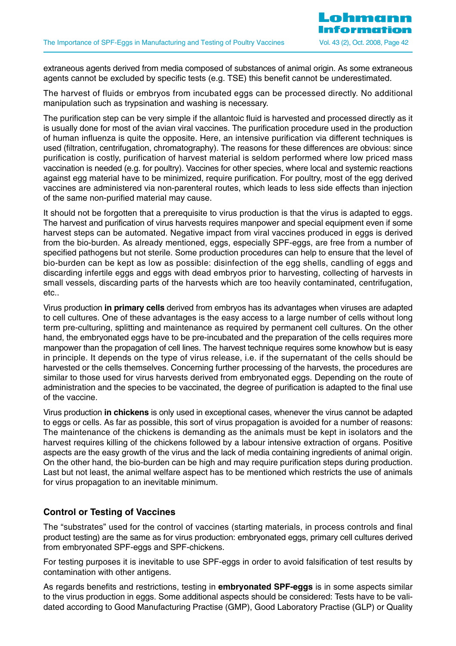extraneous agents derived from media composed of substances of animal origin. As some extraneous agents cannot be excluded by specific tests (e.g. TSE) this benefit cannot be underestimated.

The harvest of fluids or embryos from incubated eggs can be processed directly. No additional manipulation such as trypsination and washing is necessary.

The purification step can be very simple if the allantoic fluid is harvested and processed directly as it is usually done for most of the avian viral vaccines. The purification procedure used in the production of human influenza is quite the opposite. Here, an intensive purification via different techniques is used (filtration, centrifugation, chromatography). The reasons for these differences are obvious: since purification is costly, purification of harvest material is seldom performed where low priced mass vaccination is needed (e.g. for poultry). Vaccines for other species, where local and systemic reactions against egg material have to be minimized, require purification. For poultry, most of the egg derived vaccines are administered via non-parenteral routes, which leads to less side effects than injection of the same non-purified material may cause.

It should not be forgotten that a prerequisite to virus production is that the virus is adapted to eggs. The harvest and purification of virus harvests requires manpower and special equipment even if some harvest steps can be automated. Negative impact from viral vaccines produced in eggs is derived from the bio-burden. As already mentioned, eggs, especially SPF-eggs, are free from a number of specified pathogens but not sterile. Some production procedures can help to ensure that the level of bio-burden can be kept as low as possible: disinfection of the egg shells, candling of eggs and discarding infertile eggs and eggs with dead embryos prior to harvesting, collecting of harvests in small vessels, discarding parts of the harvests which are too heavily contaminated, centrifugation, etc..

Virus production **in primary cells** derived from embryos has its advantages when viruses are adapted to cell cultures. One of these advantages is the easy access to a large number of cells without long term pre-culturing, splitting and maintenance as required by permanent cell cultures. On the other hand, the embryonated eggs have to be pre-incubated and the preparation of the cells requires more manpower than the propagation of cell lines. The harvest technique requires some knowhow but is easy in principle. It depends on the type of virus release, i.e. if the supernatant of the cells should be harvested or the cells themselves. Concerning further processing of the harvests, the procedures are similar to those used for virus harvests derived from embryonated eggs. Depending on the route of administration and the species to be vaccinated, the degree of purification is adapted to the final use of the vaccine.

Virus production **in chickens** is only used in exceptional cases, whenever the virus cannot be adapted to eggs or cells. As far as possible, this sort of virus propagation is avoided for a number of reasons: The maintenance of the chickens is demanding as the animals must be kept in isolators and the harvest requires killing of the chickens followed by a labour intensive extraction of organs. Positive aspects are the easy growth of the virus and the lack of media containing ingredients of animal origin. On the other hand, the bio-burden can be high and may require purification steps during production. Last but not least, the animal welfare aspect has to be mentioned which restricts the use of animals for virus propagation to an inevitable minimum.

# **Control or Testing of Vaccines**

The "substrates" used for the control of vaccines (starting materials, in process controls and final product testing) are the same as for virus production: embryonated eggs, primary cell cultures derived from embryonated SPF-eggs and SPF-chickens.

For testing purposes it is inevitable to use SPF-eggs in order to avoid falsification of test results by contamination with other antigens.

As regards benefits and restrictions, testing in **embryonated SPF-eggs** is in some aspects similar to the virus production in eggs. Some additional aspects should be considered: Tests have to be validated according to Good Manufacturing Practise (GMP), Good Laboratory Practise (GLP) or Quality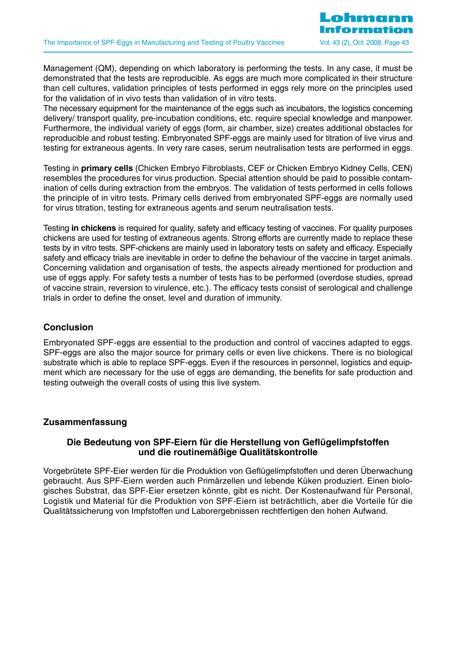Management (QM), depending on which laboratory is performing the tests. In any case, it must be demonstrated that the tests are reproducible. As eggs are much more complicated in their structure than cell cultures, validation principles of tests performed in eggs rely more on the principles used for the validation of in vivo tests than validation of in vitro tests.

The necessary equipment for the maintenance of the eggs such as incubators, the logistics concerning delivery/ transport quality, pre-incubation conditions, etc. require special knowledge and manpower. Furthermore, the individual variety of eggs (form, air chamber, size) creates additional obstacles for reproducible and robust testing. Embryonated SPF-eggs are mainly used for titration of live virus and testing for extraneous agents. In very rare cases, serum neutralisation tests are performed in eggs.

Testing in **primary cells** (Chicken Embryo Fibroblasts, CEF or Chicken Embryo Kidney Cells, CEN) resembles the procedures for virus production. Special attention should be paid to possible contamination of cells during extraction from the embryos. The validation of tests performed in cells follows the principle of in vitro tests. Primary cells derived from embryonated SPF-eggs are normally used for virus titration, testing for extraneous agents and serum neutralisation tests.

Testing **in chickens** is required for quality, safety and efficacy testing of vaccines. For quality purposes chickens are used for testing of extraneous agents. Strong efforts are currently made to replace these tests by in vitro tests. SPF-chickens are mainly used in laboratory tests on safety and efficacy. Especially safety and efficacy trials are inevitable in order to define the behaviour of the vaccine in target animals. Concerning validation and organisation of tests, the aspects already mentioned for production and use of eggs apply. For safety tests a number of tests has to be performed (overdose studies, spread of vaccine strain, reversion to virulence, etc.). The efficacy tests consist of serological and challenge trials in order to define the onset, level and duration of immunity.

# **Conclusion**

Embryonated SPF-eggs are essential to the production and control of vaccines adapted to eggs. SPF-eggs are also the major source for primary cells or even live chickens. There is no biological substrate which is able to replace SPF-eggs. Even if the resources in personnel, logistics and equipment which are necessary for the use of eggs are demanding, the benefits for safe production and testing outweigh the overall costs of using this live system.

# **Zusammenfassung**

# **Die Bedeutung von SPF-Eiern für die Herstellung von Geflügelimpfstoffen und die routinemäßige Qualitätskontrolle**

Vorgebrütete SPF-Eier werden für die Produktion von Geflügelimpfstoffen und deren Überwachung gebraucht. Aus SPF-Eiern werden auch Primärzellen und lebende Küken produziert. Einen biologisches Substrat, das SPF-Eier ersetzen könnte, gibt es nicht. Der Kostenaufwand für Personal, Logistik und Material für die Produktion von SPF-Eiern ist beträchtlich, aber die Vorteile für die Qualitätssicherung von Impfstoffen und Laborergebnissen rechtfertigen den hohen Aufwand.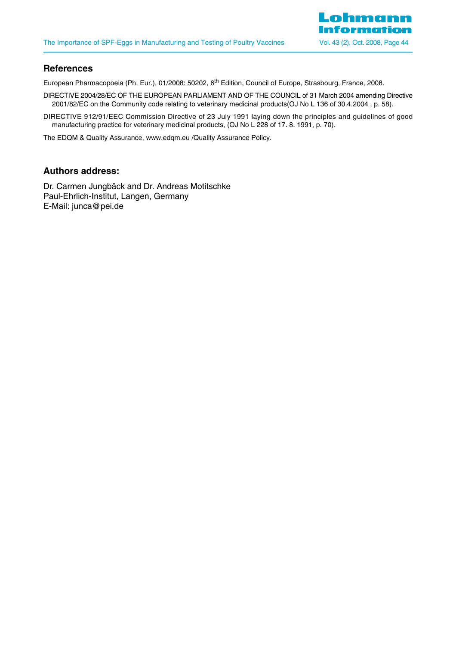

# **References**

European Pharmacopoeia (Ph. Eur.), 01/2008: 50202, 6<sup>th</sup> Edition, Council of Europe, Strasbourg, France, 2008.

- DIRECTIVE 2004/28/EC OF THE EUROPEAN PARLIAMENT AND OF THE COUNCIL of 31 March 2004 amending Directive 2001/82/EC on the Community code relating to veterinary medicinal products(OJ No L 136 of 30.4.2004 , p. 58).
- DIRECTIVE 912/91/EEC Commission Directive of 23 July 1991 laying down the principles and guidelines of good manufacturing practice for veterinary medicinal products, (OJ No L 228 of 17. 8. 1991, p. 70).

The EDQM & Quality Assurance, www.edqm.eu /Quality Assurance Policy.

# **Authors address:**

Dr. Carmen Jungbäck and Dr. Andreas Motitschke Paul-Ehrlich-Institut, Langen, Germany E-Mail: junca@pei.de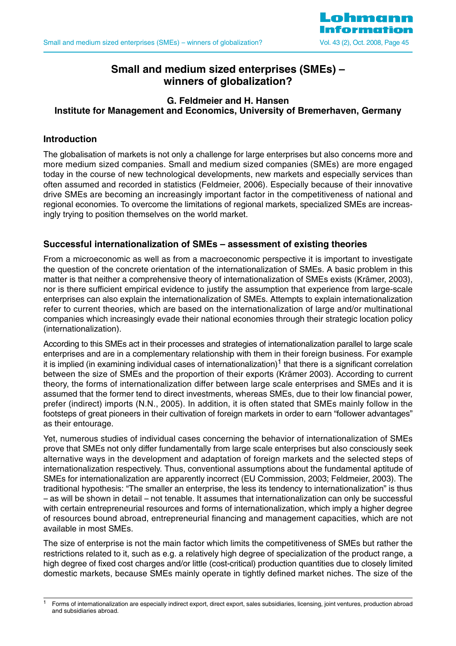

# **Small and medium sized enterprises (SMEs) – winners of globalization?**

# **G. Feldmeier and H. Hansen Institute for Management and Economics, University of Bremerhaven, Germany**

# **Introduction**

The globalisation of markets is not only a challenge for large enterprises but also concerns more and more medium sized companies. Small and medium sized companies (SMEs) are more engaged today in the course of new technological developments, new markets and especially services than often assumed and recorded in statistics (Feldmeier, 2006). Especially because of their innovative drive SMEs are becoming an increasingly important factor in the competitiveness of national and regional economies. To overcome the limitations of regional markets, specialized SMEs are increasingly trying to position themselves on the world market.

# **Successful internationalization of SMEs – assessment of existing theories**

From a microeconomic as well as from a macroeconomic perspective it is important to investigate the question of the concrete orientation of the internationalization of SMEs. A basic problem in this matter is that neither a comprehensive theory of internationalization of SMEs exists (Krämer, 2003), nor is there sufficient empirical evidence to justify the assumption that experience from large-scale enterprises can also explain the internationalization of SMEs. Attempts to explain internationalization refer to current theories, which are based on the internationalization of large and/or multinational companies which increasingly evade their national economies through their strategic location policy (internationalization).

According to this SMEs act in their processes and strategies of internationalization parallel to large scale enterprises and are in a complementary relationship with them in their foreign business. For example it is implied (in examining individual cases of internationalization)1 that there is a significant correlation between the size of SMEs and the proportion of their exports (Krämer 2003). According to current theory, the forms of internationalization differ between large scale enterprises and SMEs and it is assumed that the former tend to direct investments, whereas SMEs, due to their low financial power, prefer (indirect) imports (N.N., 2005). In addition, it is often stated that SMEs mainly follow in the footsteps of great pioneers in their cultivation of foreign markets in order to earn "follower advantages" as their entourage.

Yet, numerous studies of individual cases concerning the behavior of internationalization of SMEs prove that SMEs not only differ fundamentally from large scale enterprises but also consciously seek alternative ways in the development and adaptation of foreign markets and the selected steps of internationalization respectively. Thus, conventional assumptions about the fundamental aptitude of SMEs for internationalization are apparently incorrect (EU Commission, 2003; Feldmeier, 2003). The traditional hypothesis: "The smaller an enterprise, the less its tendency to internationalization" is thus – as will be shown in detail – not tenable. It assumes that internationalization can only be successful with certain entrepreneurial resources and forms of internationalization, which imply a higher degree of resources bound abroad, entrepreneurial financing and management capacities, which are not available in most SMEs.

The size of enterprise is not the main factor which limits the competitiveness of SMEs but rather the restrictions related to it, such as e.g. a relatively high degree of specialization of the product range, a high degree of fixed cost charges and/or little (cost-critical) production quantities due to closely limited domestic markets, because SMEs mainly operate in tightly defined market niches. The size of the

<sup>1</sup> Forms of internationalization are especially indirect export, direct export, sales subsidiaries, licensing, joint ventures, production abroad and subsidiaries abroad.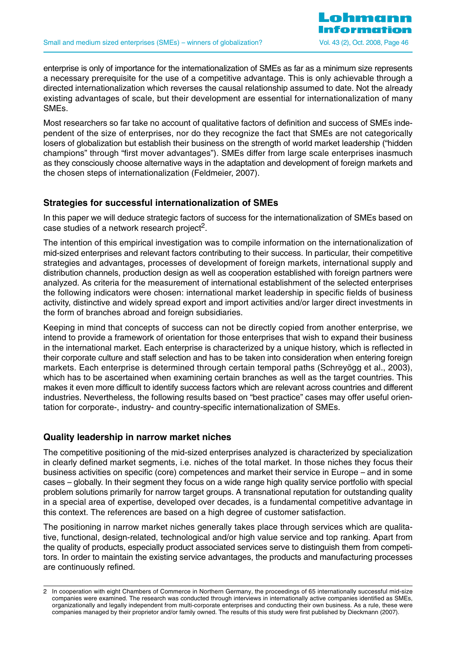enterprise is only of importance for the internationalization of SMEs as far as a minimum size represents a necessary prerequisite for the use of a competitive advantage. This is only achievable through a directed internationalization which reverses the causal relationship assumed to date. Not the already existing advantages of scale, but their development are essential for internationalization of many SMEs.

Most researchers so far take no account of qualitative factors of definition and success of SMEs independent of the size of enterprises, nor do they recognize the fact that SMEs are not categorically losers of globalization but establish their business on the strength of world market leadership ("hidden champions" through "first mover advantages"). SMEs differ from large scale enterprises inasmuch as they consciously choose alternative ways in the adaptation and development of foreign markets and the chosen steps of internationalization (Feldmeier, 2007).

# **Strategies for successful internationalization of SMEs**

In this paper we will deduce strategic factors of success for the internationalization of SMEs based on case studies of a network research project<sup>2</sup>.

The intention of this empirical investigation was to compile information on the internationalization of mid-sized enterprises and relevant factors contributing to their success. In particular, their competitive strategies and advantages, processes of development of foreign markets, international supply and distribution channels, production design as well as cooperation established with foreign partners were analyzed. As criteria for the measurement of international establishment of the selected enterprises the following indicators were chosen: international market leadership in specific fields of business activity, distinctive and widely spread export and import activities and/or larger direct investments in the form of branches abroad and foreign subsidiaries.

Keeping in mind that concepts of success can not be directly copied from another enterprise, we intend to provide a framework of orientation for those enterprises that wish to expand their business in the international market. Each enterprise is characterized by a unique history, which is reflected in their corporate culture and staff selection and has to be taken into consideration when entering foreign markets. Each enterprise is determined through certain temporal paths (Schreyögg et al., 2003), which has to be ascertained when examining certain branches as well as the target countries. This makes it even more difficult to identify success factors which are relevant across countries and different industries. Nevertheless, the following results based on "best practice" cases may offer useful orientation for corporate-, industry- and country-specific internationalization of SMEs.

# **Quality leadership in narrow market niches**

The competitive positioning of the mid-sized enterprises analyzed is characterized by specialization in clearly defined market segments, i.e. niches of the total market. In those niches they focus their business activities on specific (core) competences and market their service in Europe – and in some cases – globally. In their segment they focus on a wide range high quality service portfolio with special problem solutions primarily for narrow target groups. A transnational reputation for outstanding quality in a special area of expertise, developed over decades, is a fundamental competitive advantage in this context. The references are based on a high degree of customer satisfaction.

The positioning in narrow market niches generally takes place through services which are qualitative, functional, design-related, technological and/or high value service and top ranking. Apart from the quality of products, especially product associated services serve to distinguish them from competitors. In order to maintain the existing service advantages, the products and manufacturing processes are continuously refined.

<sup>2</sup> In cooperation with eight Chambers of Commerce in Northern Germany, the proceedings of 65 internationally successful mid-size companies were examined. The research was conducted through interviews in internationally active companies identified as SMEs, organizationally and legally independent from multi-corporate enterprises and conducting their own business. As a rule, these were companies managed by their proprietor and/or family owned. The results of this study were first published by Dieckmann (2007).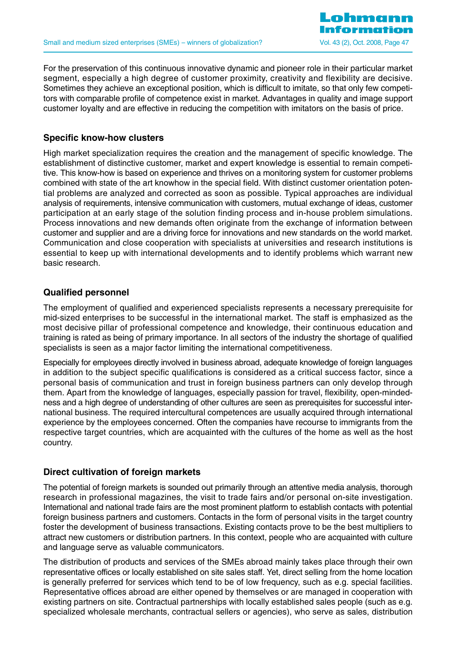

For the preservation of this continuous innovative dynamic and pioneer role in their particular market segment, especially a high degree of customer proximity, creativity and flexibility are decisive. Sometimes they achieve an exceptional position, which is difficult to imitate, so that only few competitors with comparable profile of competence exist in market. Advantages in quality and image support customer loyalty and are effective in reducing the competition with imitators on the basis of price.

# **Specific know-how clusters**

High market specialization requires the creation and the management of specific knowledge. The establishment of distinctive customer, market and expert knowledge is essential to remain competitive. This know-how is based on experience and thrives on a monitoring system for customer problems combined with state of the art knowhow in the special field. With distinct customer orientation potential problems are analyzed and corrected as soon as possible. Typical approaches are individual analysis of requirements, intensive communication with customers, mutual exchange of ideas, customer participation at an early stage of the solution finding process and in-house problem simulations. Process innovations and new demands often originate from the exchange of information between customer and supplier and are a driving force for innovations and new standards on the world market. Communication and close cooperation with specialists at universities and research institutions is essential to keep up with international developments and to identify problems which warrant new basic research.

# **Qualified personnel**

The employment of qualified and experienced specialists represents a necessary prerequisite for mid-sized enterprises to be successful in the international market. The staff is emphasized as the most decisive pillar of professional competence and knowledge, their continuous education and training is rated as being of primary importance. In all sectors of the industry the shortage of qualified specialists is seen as a major factor limiting the international competitiveness.

Especially for employees directly involved in business abroad, adequate knowledge of foreign languages in addition to the subject specific qualifications is considered as a critical success factor, since a personal basis of communication and trust in foreign business partners can only develop through them. Apart from the knowledge of languages, especially passion for travel, flexibility, open-mindedness and a high degree of understanding of other cultures are seen as prerequisites for successful international business. The required intercultural competences are usually acquired through international experience by the employees concerned. Often the companies have recourse to immigrants from the respective target countries, which are acquainted with the cultures of the home as well as the host country.

# **Direct cultivation of foreign markets**

The potential of foreign markets is sounded out primarily through an attentive media analysis, thorough research in professional magazines, the visit to trade fairs and/or personal on-site investigation. International and national trade fairs are the most prominent platform to establish contacts with potential foreign business partners and customers. Contacts in the form of personal visits in the target country foster the development of business transactions. Existing contacts prove to be the best multipliers to attract new customers or distribution partners. In this context, people who are acquainted with culture and language serve as valuable communicators.

The distribution of products and services of the SMEs abroad mainly takes place through their own representative offices or locally established on site sales staff. Yet, direct selling from the home location is generally preferred for services which tend to be of low frequency, such as e.g. special facilities. Representative offices abroad are either opened by themselves or are managed in cooperation with existing partners on site. Contractual partnerships with locally established sales people (such as e.g. specialized wholesale merchants, contractual sellers or agencies), who serve as sales, distribution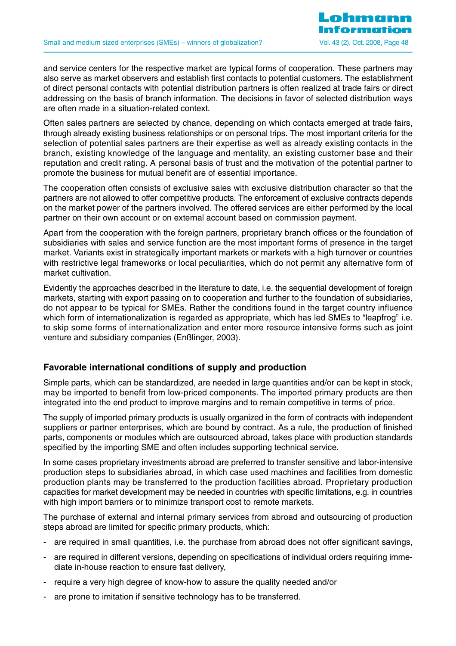and service centers for the respective market are typical forms of cooperation. These partners may also serve as market observers and establish first contacts to potential customers. The establishment of direct personal contacts with potential distribution partners is often realized at trade fairs or direct addressing on the basis of branch information. The decisions in favor of selected distribution ways are often made in a situation-related context.

Often sales partners are selected by chance, depending on which contacts emerged at trade fairs, through already existing business relationships or on personal trips. The most important criteria for the selection of potential sales partners are their expertise as well as already existing contacts in the branch, existing knowledge of the language and mentality, an existing customer base and their reputation and credit rating. A personal basis of trust and the motivation of the potential partner to promote the business for mutual benefit are of essential importance.

The cooperation often consists of exclusive sales with exclusive distribution character so that the partners are not allowed to offer competitive products. The enforcement of exclusive contracts depends on the market power of the partners involved. The offered services are either performed by the local partner on their own account or on external account based on commission payment.

Apart from the cooperation with the foreign partners, proprietary branch offices or the foundation of subsidiaries with sales and service function are the most important forms of presence in the target market. Variants exist in strategically important markets or markets with a high turnover or countries with restrictive legal frameworks or local peculiarities, which do not permit any alternative form of market cultivation.

Evidently the approaches described in the literature to date, i.e. the sequential development of foreign markets, starting with export passing on to cooperation and further to the foundation of subsidiaries, do not appear to be typical for SMEs. Rather the conditions found in the target country influence which form of internationalization is regarded as appropriate, which has led SMEs to "leapfrog" i.e. to skip some forms of internationalization and enter more resource intensive forms such as joint venture and subsidiary companies (Enßlinger, 2003).

# **Favorable international conditions of supply and production**

Simple parts, which can be standardized, are needed in large quantities and/or can be kept in stock, may be imported to benefit from low-priced components. The imported primary products are then integrated into the end product to improve margins and to remain competitive in terms of price.

The supply of imported primary products is usually organized in the form of contracts with independent suppliers or partner enterprises, which are bound by contract. As a rule, the production of finished parts, components or modules which are outsourced abroad, takes place with production standards specified by the importing SME and often includes supporting technical service.

In some cases proprietary investments abroad are preferred to transfer sensitive and labor-intensive production steps to subsidiaries abroad, in which case used machines and facilities from domestic production plants may be transferred to the production facilities abroad. Proprietary production capacities for market development may be needed in countries with specific limitations, e.g. in countries with high import barriers or to minimize transport cost to remote markets.

The purchase of external and internal primary services from abroad and outsourcing of production steps abroad are limited for specific primary products, which:

- are required in small quantities, i.e. the purchase from abroad does not offer significant savings,
- are required in different versions, depending on specifications of individual orders requiring immediate in-house reaction to ensure fast delivery,
- require a very high degree of know-how to assure the quality needed and/or
- are prone to imitation if sensitive technology has to be transferred.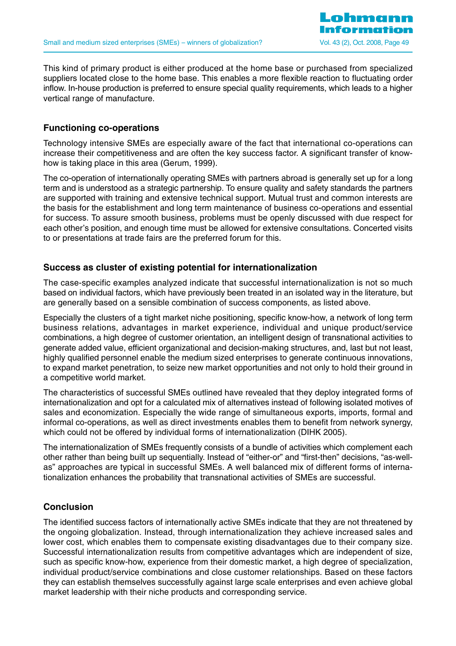This kind of primary product is either produced at the home base or purchased from specialized suppliers located close to the home base. This enables a more flexible reaction to fluctuating order inflow. In-house production is preferred to ensure special quality requirements, which leads to a higher vertical range of manufacture.

# **Functioning co-operations**

Technology intensive SMEs are especially aware of the fact that international co-operations can increase their competitiveness and are often the key success factor. A significant transfer of knowhow is taking place in this area (Gerum, 1999).

The co-operation of internationally operating SMEs with partners abroad is generally set up for a long term and is understood as a strategic partnership. To ensure quality and safety standards the partners are supported with training and extensive technical support. Mutual trust and common interests are the basis for the establishment and long term maintenance of business co-operations and essential for success. To assure smooth business, problems must be openly discussed with due respect for each other's position, and enough time must be allowed for extensive consultations. Concerted visits to or presentations at trade fairs are the preferred forum for this.

# **Success as cluster of existing potential for internationalization**

The case-specific examples analyzed indicate that successful internationalization is not so much based on individual factors, which have previously been treated in an isolated way in the literature, but are generally based on a sensible combination of success components, as listed above.

Especially the clusters of a tight market niche positioning, specific know-how, a network of long term business relations, advantages in market experience, individual and unique product/service combinations, a high degree of customer orientation, an intelligent design of transnational activities to generate added value, efficient organizational and decision-making structures, and, last but not least, highly qualified personnel enable the medium sized enterprises to generate continuous innovations, to expand market penetration, to seize new market opportunities and not only to hold their ground in a competitive world market.

The characteristics of successful SMEs outlined have revealed that they deploy integrated forms of internationalization and opt for a calculated mix of alternatives instead of following isolated motives of sales and economization. Especially the wide range of simultaneous exports, imports, formal and informal co-operations, as well as direct investments enables them to benefit from network synergy, which could not be offered by individual forms of internationalization (DIHK 2005).

The internationalization of SMEs frequently consists of a bundle of activities which complement each other rather than being built up sequentially. Instead of "either-or" and "first-then" decisions, "as-wellas" approaches are typical in successful SMEs. A well balanced mix of different forms of internationalization enhances the probability that transnational activities of SMEs are successful.

# **Conclusion**

The identified success factors of internationally active SMEs indicate that they are not threatened by the ongoing globalization. Instead, through internationalization they achieve increased sales and lower cost, which enables them to compensate existing disadvantages due to their company size. Successful internationalization results from competitive advantages which are independent of size, such as specific know-how, experience from their domestic market, a high degree of specialization, individual product/service combinations and close customer relationships. Based on these factors they can establish themselves successfully against large scale enterprises and even achieve global market leadership with their niche products and corresponding service.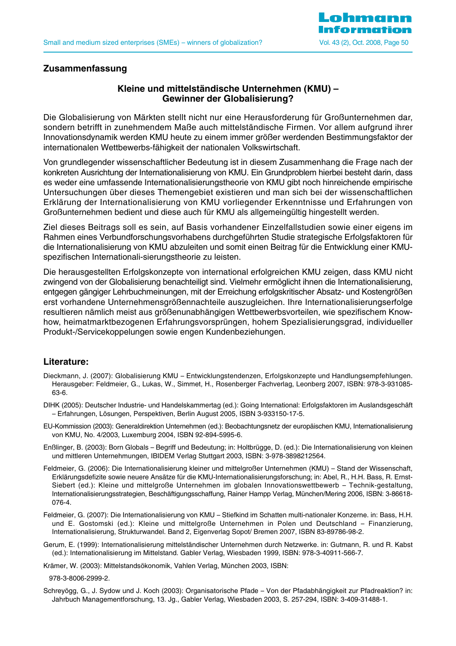

# **Zusammenfassung**

# **Kleine und mittelständische Unternehmen (KMU) – Gewinner der Globalisierung?**

Die Globalisierung von Märkten stellt nicht nur eine Herausforderung für Großunternehmen dar, sondern betrifft in zunehmendem Maße auch mittelständische Firmen. Vor allem aufgrund ihrer Innovationsdynamik werden KMU heute zu einem immer größer werdenden Bestimmungsfaktor der internationalen Wettbewerbs-fähigkeit der nationalen Volkswirtschaft.

Von grundlegender wissenschaftlicher Bedeutung ist in diesem Zusammenhang die Frage nach der konkreten Ausrichtung der Internationalisierung von KMU. Ein Grundproblem hierbei besteht darin, dass es weder eine umfassende Internationalisierungstheorie von KMU gibt noch hinreichende empirische Untersuchungen über dieses Themengebiet existieren und man sich bei der wissenschaftlichen Erklärung der Internationalisierung von KMU vorliegender Erkenntnisse und Erfahrungen von Großunternehmen bedient und diese auch für KMU als allgemeingültig hingestellt werden.

Ziel dieses Beitrags soll es sein, auf Basis vorhandener Einzelfallstudien sowie einer eigens im Rahmen eines Verbundforschungsvorhabens durchgeführten Studie strategische Erfolgsfaktoren für die Internationalisierung von KMU abzuleiten und somit einen Beitrag für die Entwicklung einer KMUspezifischen Internationali-sierungstheorie zu leisten.

Die herausgestellten Erfolgskonzepte von international erfolgreichen KMU zeigen, dass KMU nicht zwingend von der Globalisierung benachteiligt sind. Vielmehr ermöglicht ihnen die Internationalisierung, entgegen gängiger Lehrbuchmeinungen, mit der Erreichung erfolgskritischer Absatz- und Kostengrößen erst vorhandene Unternehmensgrößennachteile auszugleichen. Ihre Internationalisierungserfolge resultieren nämlich meist aus größenunabhängigen Wettbewerbsvorteilen, wie spezifischem Knowhow, heimatmarktbezogenen Erfahrungsvorsprüngen, hohem Spezialisierungsgrad, individueller Produkt-/Servicekoppelungen sowie engen Kundenbeziehungen.

#### **Literature:**

- Dieckmann, J. (2007): Globalisierung KMU Entwicklungstendenzen, Erfolgskonzepte und Handlungsempfehlungen. Herausgeber: Feldmeier, G., Lukas, W., Simmet, H., Rosenberger Fachverlag, Leonberg 2007, ISBN: 978-3-931085- 63-6.
- DIHK (2005): Deutscher Industrie- und Handelskammertag (ed.): Going International: Erfolgsfaktoren im Auslandsgeschäft – Erfahrungen, Lösungen, Perspektiven, Berlin August 2005, ISBN 3-933150-17-5.
- EU-Kommission (2003): Generaldirektion Unternehmen (ed.): Beobachtungsnetz der europäischen KMU, Internationalisierung von KMU, No. 4/2003, Luxemburg 2004, ISBN 92-894-5995-6.
- Enßlinger, B. (2003): Born Globals Begriff und Bedeutung; in: Holtbrügge, D. (ed.): Die Internationalisierung von kleinen und mittleren Unternehmungen, IBIDEM Verlag Stuttgart 2003, ISBN: 3-978-3898212564.
- Feldmeier, G. (2006): Die Internationalisierung kleiner und mittelgroßer Unternehmen (KMU) Stand der Wissenschaft, Erklärungsdefizite sowie neuere Ansätze für die KMU-Internationalisierungsforschung; in: Abel, R., H.H. Bass, R. Ernst-Siebert (ed.): Kleine und mittelgroße Unternehmen im globalen Innovationswettbewerb – Technik-gestaltung, Internationalisierungsstrategien, Beschäftigungsschaffung, Rainer Hampp Verlag, München/Mering 2006, ISBN: 3-86618- 076-4.
- Feldmeier, G. (2007): Die Internationalisierung von KMU Stiefkind im Schatten multi-nationaler Konzerne. in: Bass, H.H. und E. Gostomski (ed.): Kleine und mittelgroße Unternehmen in Polen und Deutschland – Finanzierung, Internationalisierung, Strukturwandel. Band 2, Eigenverlag Sopot/ Bremen 2007, ISBN 83-89786-98-2.
- Gerum, E. (1999): Internationalisierung mittelständischer Unternehmen durch Netzwerke. in: Gutmann, R. und R. Kabst (ed.): Internationalisierung im Mittelstand. Gabler Verlag, Wiesbaden 1999, ISBN: 978-3-40911-566-7.
- Krämer, W. (2003): Mittelstandsökonomik, Vahlen Verlag, München 2003, ISBN:

978-3-8006-2999-2.

Schreyögg, G., J. Sydow und J. Koch (2003): Organisatorische Pfade – Von der Pfadabhängigkeit zur Pfadreaktion? in: Jahrbuch Managementforschung, 13. Jg., Gabler Verlag, Wiesbaden 2003, S. 257-294, ISBN: 3-409-31488-1.